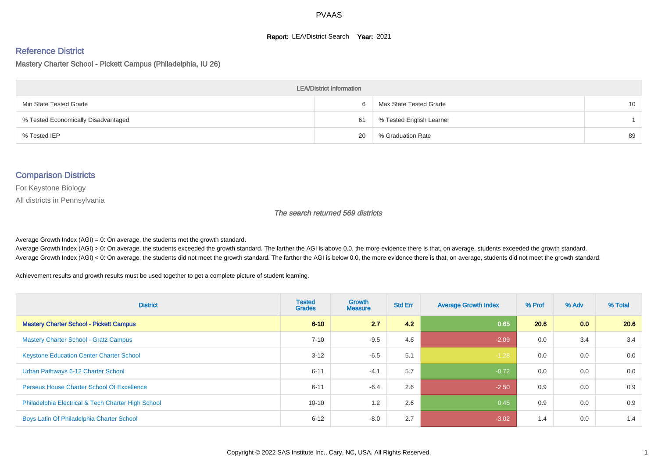#### **Report: LEA/District Search Year: 2021**

#### Reference District

Mastery Charter School - Pickett Campus (Philadelphia, IU 26)

| <b>LEA/District Information</b>     |    |                          |                 |  |  |  |  |  |  |  |
|-------------------------------------|----|--------------------------|-----------------|--|--|--|--|--|--|--|
| Min State Tested Grade              |    | Max State Tested Grade   | 10 <sup>°</sup> |  |  |  |  |  |  |  |
| % Tested Economically Disadvantaged | 61 | % Tested English Learner |                 |  |  |  |  |  |  |  |
| % Tested IEP                        | 20 | % Graduation Rate        | 89              |  |  |  |  |  |  |  |

#### Comparison Districts

For Keystone Biology

All districts in Pennsylvania

The search returned 569 districts

Average Growth Index  $(AGI) = 0$ : On average, the students met the growth standard.

Average Growth Index (AGI) > 0: On average, the students exceeded the growth standard. The farther the AGI is above 0.0, the more evidence there is that, on average, students exceeded the growth standard. Average Growth Index (AGI) < 0: On average, the students did not meet the growth standard. The farther the AGI is below 0.0, the more evidence there is that, on average, students did not meet the growth standard.

Achievement results and growth results must be used together to get a complete picture of student learning.

| <b>District</b>                                    | <b>Tested</b><br><b>Grades</b> | <b>Growth</b><br><b>Measure</b> | <b>Std Err</b> | <b>Average Growth Index</b> | % Prof | % Adv            | % Total |
|----------------------------------------------------|--------------------------------|---------------------------------|----------------|-----------------------------|--------|------------------|---------|
| <b>Mastery Charter School - Pickett Campus</b>     | $6 - 10$                       | 2.7                             | 4.2            | 0.65                        | 20.6   | 0.0 <sub>1</sub> | 20.6    |
| <b>Mastery Charter School - Gratz Campus</b>       | $7 - 10$                       | $-9.5$                          | 4.6            | $-2.09$                     | 0.0    | 3.4              | 3.4     |
| <b>Keystone Education Center Charter School</b>    | $3 - 12$                       | $-6.5$                          | 5.1            | $-1.28$                     | 0.0    | 0.0              | 0.0     |
| Urban Pathways 6-12 Charter School                 | $6 - 11$                       | $-4.1$                          | 5.7            | $-0.72$                     | 0.0    | 0.0              | 0.0     |
| <b>Perseus House Charter School Of Excellence</b>  | $6 - 11$                       | $-6.4$                          | 2.6            | $-2.50$                     | 0.9    | 0.0              | 0.9     |
| Philadelphia Electrical & Tech Charter High School | $10 - 10$                      | 1.2                             | 2.6            | 0.45                        | 0.9    | 0.0              | 0.9     |
| Boys Latin Of Philadelphia Charter School          | $6 - 12$                       | $-8.0$                          | 2.7            | $-3.02$                     | 1.4    | 0.0              | 1.4     |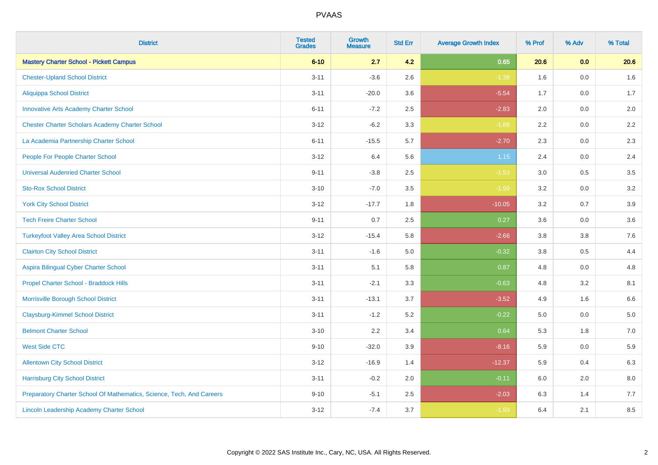| <b>District</b>                                                       | <b>Tested</b><br><b>Grades</b> | <b>Growth</b><br><b>Measure</b> | <b>Std Err</b> | <b>Average Growth Index</b> | % Prof  | % Adv   | % Total |
|-----------------------------------------------------------------------|--------------------------------|---------------------------------|----------------|-----------------------------|---------|---------|---------|
| <b>Mastery Charter School - Pickett Campus</b>                        | $6 - 10$                       | 2.7                             | 4.2            | 0.65                        | 20.6    | 0.0     | 20.6    |
| <b>Chester-Upland School District</b>                                 | $3 - 11$                       | $-3.6$                          | 2.6            | $-1.38$                     | 1.6     | 0.0     | 1.6     |
| <b>Aliquippa School District</b>                                      | $3 - 11$                       | $-20.0$                         | 3.6            | $-5.54$                     | 1.7     | 0.0     | 1.7     |
| <b>Innovative Arts Academy Charter School</b>                         | $6 - 11$                       | $-7.2$                          | 2.5            | $-2.83$                     | 2.0     | 0.0     | 2.0     |
| <b>Chester Charter Scholars Academy Charter School</b>                | $3 - 12$                       | $-6.2$                          | 3.3            | $-1.88$                     | 2.2     | 0.0     | $2.2\,$ |
| La Academia Partnership Charter School                                | $6 - 11$                       | $-15.5$                         | 5.7            | $-2.70$                     | 2.3     | 0.0     | 2.3     |
| People For People Charter School                                      | $3 - 12$                       | 6.4                             | 5.6            | 1.15                        | 2.4     | 0.0     | $2.4\,$ |
| <b>Universal Audenried Charter School</b>                             | $9 - 11$                       | $-3.8$                          | 2.5            | $-1.53$                     | 3.0     | 0.5     | 3.5     |
| <b>Sto-Rox School District</b>                                        | $3 - 10$                       | $-7.0$                          | 3.5            | $-1.99$                     | 3.2     | 0.0     | 3.2     |
| <b>York City School District</b>                                      | $3 - 12$                       | $-17.7$                         | 1.8            | $-10.05$                    | 3.2     | 0.7     | 3.9     |
| <b>Tech Freire Charter School</b>                                     | $9 - 11$                       | 0.7                             | 2.5            | 0.27                        | 3.6     | 0.0     | 3.6     |
| <b>Turkeyfoot Valley Area School District</b>                         | $3 - 12$                       | $-15.4$                         | 5.8            | $-2.66$                     | 3.8     | 3.8     | 7.6     |
| <b>Clairton City School District</b>                                  | $3 - 11$                       | $-1.6$                          | $5.0\,$        | $-0.32$                     | $3.8\,$ | 0.5     | 4.4     |
| Aspira Bilingual Cyber Charter School                                 | $3 - 11$                       | 5.1                             | 5.8            | 0.87                        | 4.8     | 0.0     | 4.8     |
| Propel Charter School - Braddock Hills                                | $3 - 11$                       | $-2.1$                          | 3.3            | $-0.63$                     | 4.8     | 3.2     | 8.1     |
| Morrisville Borough School District                                   | $3 - 11$                       | $-13.1$                         | 3.7            | $-3.52$                     | 4.9     | 1.6     | 6.6     |
| <b>Claysburg-Kimmel School District</b>                               | $3 - 11$                       | $-1.2$                          | 5.2            | $-0.22$                     | 5.0     | 0.0     | $5.0\,$ |
| <b>Belmont Charter School</b>                                         | $3 - 10$                       | 2.2                             | 3.4            | 0.64                        | 5.3     | 1.8     | $7.0\,$ |
| <b>West Side CTC</b>                                                  | $9 - 10$                       | $-32.0$                         | 3.9            | $-8.16$                     | 5.9     | 0.0     | 5.9     |
| <b>Allentown City School District</b>                                 | $3 - 12$                       | $-16.9$                         | 1.4            | $-12.37$                    | 5.9     | 0.4     | 6.3     |
| <b>Harrisburg City School District</b>                                | $3 - 11$                       | $-0.2$                          | 2.0            | $-0.11$                     | 6.0     | $2.0\,$ | $8.0\,$ |
| Preparatory Charter School Of Mathematics, Science, Tech, And Careers | $9 - 10$                       | $-5.1$                          | 2.5            | $-2.03$                     | 6.3     | 1.4     | 7.7     |
| Lincoln Leadership Academy Charter School                             | $3 - 12$                       | $-7.4$                          | 3.7            | $-1.99$                     | 6.4     | 2.1     | 8.5     |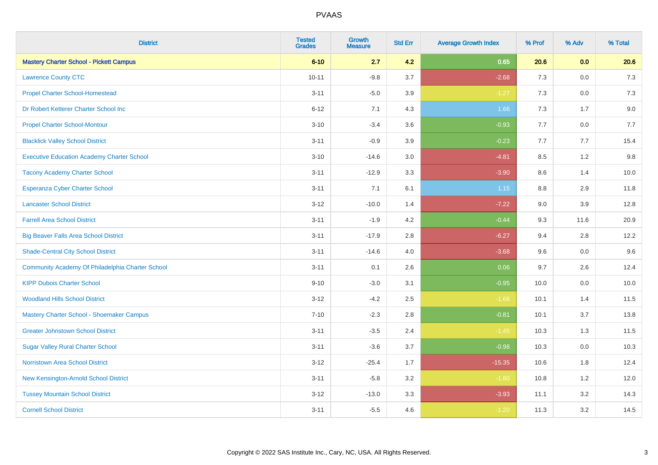| <b>District</b>                                   | <b>Tested</b><br><b>Grades</b> | <b>Growth</b><br><b>Measure</b> | <b>Std Err</b> | <b>Average Growth Index</b> | % Prof | % Adv   | % Total |
|---------------------------------------------------|--------------------------------|---------------------------------|----------------|-----------------------------|--------|---------|---------|
| <b>Mastery Charter School - Pickett Campus</b>    | $6 - 10$                       | 2.7                             | 4.2            | 0.65                        | 20.6   | 0.0     | 20.6    |
| <b>Lawrence County CTC</b>                        | $10 - 11$                      | $-9.8$                          | 3.7            | $-2.68$                     | 7.3    | 0.0     | 7.3     |
| <b>Propel Charter School-Homestead</b>            | $3 - 11$                       | $-5.0$                          | 3.9            | $-1.27$                     | 7.3    | 0.0     | $7.3$   |
| Dr Robert Ketterer Charter School Inc             | $6 - 12$                       | 7.1                             | 4.3            | 1.66                        | 7.3    | 1.7     | 9.0     |
| <b>Propel Charter School-Montour</b>              | $3 - 10$                       | $-3.4$                          | 3.6            | $-0.93$                     | 7.7    | 0.0     | 7.7     |
| <b>Blacklick Valley School District</b>           | $3 - 11$                       | $-0.9$                          | 3.9            | $-0.23$                     | 7.7    | 7.7     | 15.4    |
| <b>Executive Education Academy Charter School</b> | $3 - 10$                       | $-14.6$                         | 3.0            | $-4.81$                     | 8.5    | 1.2     | 9.8     |
| <b>Tacony Academy Charter School</b>              | $3 - 11$                       | $-12.9$                         | 3.3            | $-3.90$                     | 8.6    | 1.4     | 10.0    |
| <b>Esperanza Cyber Charter School</b>             | $3 - 11$                       | 7.1                             | 6.1            | 1.15                        | 8.8    | 2.9     | 11.8    |
| <b>Lancaster School District</b>                  | $3 - 12$                       | $-10.0$                         | 1.4            | $-7.22$                     | 9.0    | 3.9     | 12.8    |
| <b>Farrell Area School District</b>               | $3 - 11$                       | $-1.9$                          | 4.2            | $-0.44$                     | 9.3    | 11.6    | 20.9    |
| <b>Big Beaver Falls Area School District</b>      | $3 - 11$                       | $-17.9$                         | 2.8            | $-6.27$                     | 9.4    | 2.8     | 12.2    |
| <b>Shade-Central City School District</b>         | $3 - 11$                       | $-14.6$                         | 4.0            | $-3.68$                     | 9.6    | $0.0\,$ | 9.6     |
| Community Academy Of Philadelphia Charter School  | $3 - 11$                       | 0.1                             | 2.6            | 0.06                        | 9.7    | 2.6     | 12.4    |
| <b>KIPP Dubois Charter School</b>                 | $9 - 10$                       | $-3.0$                          | 3.1            | $-0.95$                     | 10.0   | 0.0     | 10.0    |
| <b>Woodland Hills School District</b>             | $3 - 12$                       | $-4.2$                          | 2.5            | $-1.66$                     | 10.1   | 1.4     | 11.5    |
| Mastery Charter School - Shoemaker Campus         | $7 - 10$                       | $-2.3$                          | 2.8            | $-0.81$                     | 10.1   | 3.7     | 13.8    |
| <b>Greater Johnstown School District</b>          | $3 - 11$                       | $-3.5$                          | 2.4            | $-1.45$                     | 10.3   | 1.3     | 11.5    |
| <b>Sugar Valley Rural Charter School</b>          | $3 - 11$                       | $-3.6$                          | 3.7            | $-0.98$                     | 10.3   | 0.0     | 10.3    |
| <b>Norristown Area School District</b>            | $3 - 12$                       | $-25.4$                         | 1.7            | $-15.35$                    | 10.6   | 1.8     | 12.4    |
| New Kensington-Arnold School District             | $3 - 11$                       | $-5.8$                          | 3.2            | $-1.80$                     | 10.8   | 1.2     | 12.0    |
| <b>Tussey Mountain School District</b>            | $3 - 12$                       | $-13.0$                         | 3.3            | $-3.93$                     | 11.1   | 3.2     | 14.3    |
| <b>Cornell School District</b>                    | $3 - 11$                       | $-5.5$                          | 4.6            | $-1.20$                     | 11.3   | 3.2     | 14.5    |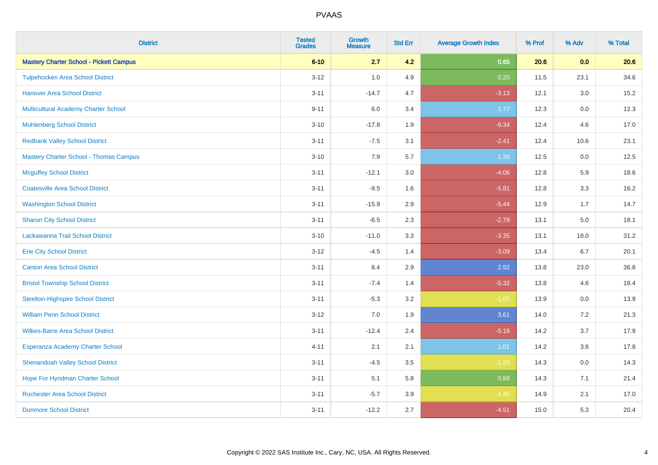| <b>District</b>                                | <b>Tested</b><br><b>Grades</b> | Growth<br><b>Measure</b> | <b>Std Err</b> | <b>Average Growth Index</b> | % Prof | % Adv | % Total |
|------------------------------------------------|--------------------------------|--------------------------|----------------|-----------------------------|--------|-------|---------|
| <b>Mastery Charter School - Pickett Campus</b> | $6 - 10$                       | 2.7                      | 4.2            | 0.65                        | 20.6   | 0.0   | 20.6    |
| <b>Tulpehocken Area School District</b>        | $3 - 12$                       | 1.0                      | 4.9            | 0.20                        | 11.5   | 23.1  | 34.6    |
| <b>Hanover Area School District</b>            | $3 - 11$                       | $-14.7$                  | 4.7            | $-3.13$                     | 12.1   | 3.0   | 15.2    |
| Multicultural Academy Charter School           | $9 - 11$                       | 6.0                      | 3.4            | 1.77                        | 12.3   | 0.0   | 12.3    |
| <b>Muhlenberg School District</b>              | $3 - 10$                       | $-17.8$                  | 1.9            | $-9.34$                     | 12.4   | 4.6   | 17.0    |
| <b>Redbank Valley School District</b>          | $3 - 11$                       | $-7.5$                   | 3.1            | $-2.41$                     | 12.4   | 10.6  | 23.1    |
| <b>Mastery Charter School - Thomas Campus</b>  | $3 - 10$                       | 7.9                      | 5.7            | 1.39                        | 12.5   | 0.0   | 12.5    |
| <b>Mcguffey School District</b>                | $3 - 11$                       | $-12.1$                  | 3.0            | $-4.06$                     | 12.8   | 5.9   | 18.6    |
| <b>Coatesville Area School District</b>        | $3 - 11$                       | $-9.5$                   | 1.6            | $-5.81$                     | 12.8   | 3.3   | 16.2    |
| <b>Washington School District</b>              | $3 - 11$                       | $-15.9$                  | 2.9            | $-5.44$                     | 12.9   | 1.7   | 14.7    |
| <b>Sharon City School District</b>             | $3 - 11$                       | $-6.5$                   | 2.3            | $-2.79$                     | 13.1   | 5.0   | 18.1    |
| Lackawanna Trail School District               | $3 - 10$                       | $-11.0$                  | 3.3            | $-3.35$                     | 13.1   | 18.0  | 31.2    |
| <b>Erie City School District</b>               | $3 - 12$                       | $-4.5$                   | 1.4            | $-3.09$                     | 13.4   | 6.7   | 20.1    |
| <b>Canton Area School District</b>             | $3 - 11$                       | 8.4                      | 2.9            | 2.92                        | 13.8   | 23.0  | 36.8    |
| <b>Bristol Township School District</b>        | $3 - 11$                       | $-7.4$                   | 1.4            | $-5.32$                     | 13.8   | 4.6   | 18.4    |
| <b>Steelton-Highspire School District</b>      | $3 - 11$                       | $-5.3$                   | 3.2            | $-1.65$                     | 13.9   | 0.0   | 13.9    |
| <b>William Penn School District</b>            | $3 - 12$                       | 7.0                      | 1.9            | 3.61                        | 14.0   | 7.2   | 21.3    |
| <b>Wilkes-Barre Area School District</b>       | $3 - 11$                       | $-12.4$                  | 2.4            | $-5.18$                     | 14.2   | 3.7   | 17.9    |
| Esperanza Academy Charter School               | $4 - 11$                       | 2.1                      | 2.1            | 1.01                        | 14.2   | 3.6   | 17.8    |
| <b>Shenandoah Valley School District</b>       | $3 - 11$                       | $-4.5$                   | 3.5            | $-1.29$                     | 14.3   | 0.0   | 14.3    |
| Hope For Hyndman Charter School                | $3 - 11$                       | 5.1                      | 5.8            | 0.88                        | 14.3   | 7.1   | 21.4    |
| <b>Rochester Area School District</b>          | $3 - 11$                       | $-5.7$                   | 3.9            | $-1.45$                     | 14.9   | 2.1   | 17.0    |
| <b>Dunmore School District</b>                 | $3 - 11$                       | $-12.2$                  | 2.7            | $-4.51$                     | 15.0   | 5.3   | 20.4    |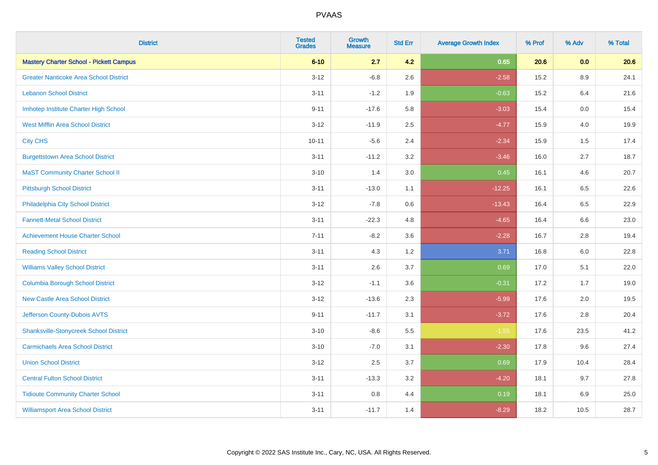| <b>District</b>                                | <b>Tested</b><br><b>Grades</b> | <b>Growth</b><br><b>Measure</b> | <b>Std Err</b> | <b>Average Growth Index</b> | % Prof | % Adv   | % Total |
|------------------------------------------------|--------------------------------|---------------------------------|----------------|-----------------------------|--------|---------|---------|
| <b>Mastery Charter School - Pickett Campus</b> | $6 - 10$                       | 2.7                             | 4.2            | 0.65                        | 20.6   | 0.0     | 20.6    |
| <b>Greater Nanticoke Area School District</b>  | $3 - 12$                       | $-6.8$                          | 2.6            | $-2.58$                     | 15.2   | $8.9\,$ | 24.1    |
| <b>Lebanon School District</b>                 | $3 - 11$                       | $-1.2$                          | 1.9            | $-0.63$                     | 15.2   | 6.4     | 21.6    |
| Imhotep Institute Charter High School          | $9 - 11$                       | $-17.6$                         | 5.8            | $-3.03$                     | 15.4   | 0.0     | 15.4    |
| <b>West Mifflin Area School District</b>       | $3 - 12$                       | $-11.9$                         | 2.5            | $-4.77$                     | 15.9   | 4.0     | 19.9    |
| <b>City CHS</b>                                | $10 - 11$                      | $-5.6$                          | 2.4            | $-2.34$                     | 15.9   | 1.5     | 17.4    |
| <b>Burgettstown Area School District</b>       | $3 - 11$                       | $-11.2$                         | 3.2            | $-3.46$                     | 16.0   | 2.7     | 18.7    |
| <b>MaST Community Charter School II</b>        | $3 - 10$                       | 1.4                             | 3.0            | 0.45                        | 16.1   | 4.6     | 20.7    |
| <b>Pittsburgh School District</b>              | $3 - 11$                       | $-13.0$                         | 1.1            | $-12.25$                    | 16.1   | 6.5     | 22.6    |
| Philadelphia City School District              | $3 - 12$                       | $-7.8$                          | 0.6            | $-13.43$                    | 16.4   | 6.5     | 22.9    |
| <b>Fannett-Metal School District</b>           | $3 - 11$                       | $-22.3$                         | 4.8            | $-4.65$                     | 16.4   | 6.6     | 23.0    |
| <b>Achievement House Charter School</b>        | $7 - 11$                       | $-8.2$                          | 3.6            | $-2.28$                     | 16.7   | 2.8     | 19.4    |
| <b>Reading School District</b>                 | $3 - 11$                       | 4.3                             | 1.2            | 3.71                        | 16.8   | 6.0     | 22.8    |
| <b>Williams Valley School District</b>         | $3 - 11$                       | 2.6                             | 3.7            | 0.69                        | 17.0   | 5.1     | 22.0    |
| <b>Columbia Borough School District</b>        | $3 - 12$                       | $-1.1$                          | 3.6            | $-0.31$                     | 17.2   | 1.7     | 19.0    |
| <b>New Castle Area School District</b>         | $3 - 12$                       | $-13.6$                         | 2.3            | $-5.99$                     | 17.6   | 2.0     | 19.5    |
| Jefferson County-Dubois AVTS                   | $9 - 11$                       | $-11.7$                         | 3.1            | $-3.72$                     | 17.6   | 2.8     | 20.4    |
| <b>Shanksville-Stonycreek School District</b>  | $3 - 10$                       | $-8.6$                          | 5.5            | $-1.55$                     | 17.6   | 23.5    | 41.2    |
| <b>Carmichaels Area School District</b>        | $3 - 10$                       | $-7.0$                          | 3.1            | $-2.30$                     | 17.8   | 9.6     | 27.4    |
| <b>Union School District</b>                   | $3 - 12$                       | 2.5                             | 3.7            | 0.69                        | 17.9   | 10.4    | 28.4    |
| <b>Central Fulton School District</b>          | $3 - 11$                       | $-13.3$                         | 3.2            | $-4.20$                     | 18.1   | 9.7     | 27.8    |
| <b>Tidioute Community Charter School</b>       | $3 - 11$                       | 0.8                             | 4.4            | 0.19                        | 18.1   | 6.9     | 25.0    |
| <b>Williamsport Area School District</b>       | $3 - 11$                       | $-11.7$                         | 1.4            | $-8.29$                     | 18.2   | 10.5    | 28.7    |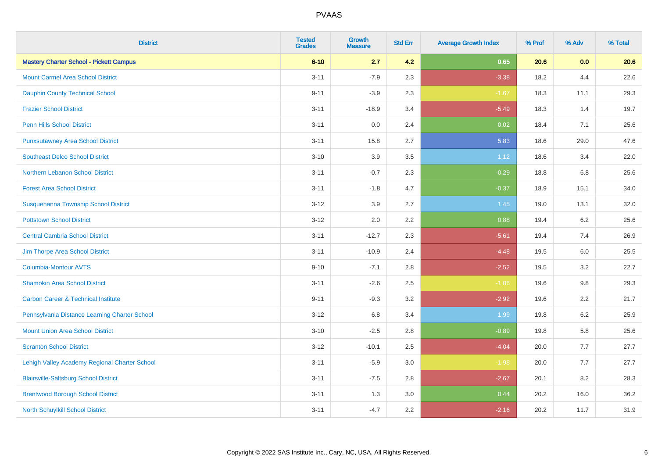| <b>District</b>                                | <b>Tested</b><br><b>Grades</b> | <b>Growth</b><br><b>Measure</b> | <b>Std Err</b> | <b>Average Growth Index</b> | % Prof | % Adv | % Total |
|------------------------------------------------|--------------------------------|---------------------------------|----------------|-----------------------------|--------|-------|---------|
| <b>Mastery Charter School - Pickett Campus</b> | $6 - 10$                       | 2.7                             | 4.2            | 0.65                        | 20.6   | 0.0   | 20.6    |
| <b>Mount Carmel Area School District</b>       | $3 - 11$                       | $-7.9$                          | 2.3            | $-3.38$                     | 18.2   | 4.4   | 22.6    |
| <b>Dauphin County Technical School</b>         | $9 - 11$                       | $-3.9$                          | 2.3            | $-1.67$                     | 18.3   | 11.1  | 29.3    |
| <b>Frazier School District</b>                 | $3 - 11$                       | $-18.9$                         | 3.4            | $-5.49$                     | 18.3   | 1.4   | 19.7    |
| <b>Penn Hills School District</b>              | $3 - 11$                       | 0.0                             | 2.4            | 0.02                        | 18.4   | 7.1   | 25.6    |
| <b>Punxsutawney Area School District</b>       | $3 - 11$                       | 15.8                            | 2.7            | 5.83                        | 18.6   | 29.0  | 47.6    |
| <b>Southeast Delco School District</b>         | $3 - 10$                       | 3.9                             | 3.5            | 1.12                        | 18.6   | 3.4   | 22.0    |
| <b>Northern Lebanon School District</b>        | $3 - 11$                       | $-0.7$                          | 2.3            | $-0.29$                     | 18.8   | 6.8   | 25.6    |
| <b>Forest Area School District</b>             | $3 - 11$                       | $-1.8$                          | 4.7            | $-0.37$                     | 18.9   | 15.1  | 34.0    |
| <b>Susquehanna Township School District</b>    | $3 - 12$                       | 3.9                             | 2.7            | $1.45$                      | 19.0   | 13.1  | 32.0    |
| <b>Pottstown School District</b>               | $3 - 12$                       | 2.0                             | 2.2            | 0.88                        | 19.4   | 6.2   | 25.6    |
| <b>Central Cambria School District</b>         | $3 - 11$                       | $-12.7$                         | 2.3            | $-5.61$                     | 19.4   | 7.4   | 26.9    |
| Jim Thorpe Area School District                | $3 - 11$                       | $-10.9$                         | 2.4            | $-4.48$                     | 19.5   | 6.0   | 25.5    |
| <b>Columbia-Montour AVTS</b>                   | $9 - 10$                       | $-7.1$                          | 2.8            | $-2.52$                     | 19.5   | 3.2   | 22.7    |
| <b>Shamokin Area School District</b>           | $3 - 11$                       | $-2.6$                          | 2.5            | $-1.06$                     | 19.6   | 9.8   | 29.3    |
| <b>Carbon Career &amp; Technical Institute</b> | $9 - 11$                       | $-9.3$                          | 3.2            | $-2.92$                     | 19.6   | 2.2   | 21.7    |
| Pennsylvania Distance Learning Charter School  | $3 - 12$                       | 6.8                             | 3.4            | 1.99                        | 19.8   | 6.2   | 25.9    |
| <b>Mount Union Area School District</b>        | $3 - 10$                       | $-2.5$                          | 2.8            | $-0.89$                     | 19.8   | 5.8   | 25.6    |
| <b>Scranton School District</b>                | $3 - 12$                       | $-10.1$                         | 2.5            | $-4.04$                     | 20.0   | 7.7   | 27.7    |
| Lehigh Valley Academy Regional Charter School  | $3 - 11$                       | $-5.9$                          | 3.0            | $-1.98$                     | 20.0   | 7.7   | 27.7    |
| <b>Blairsville-Saltsburg School District</b>   | $3 - 11$                       | $-7.5$                          | 2.8            | $-2.67$                     | 20.1   | 8.2   | 28.3    |
| <b>Brentwood Borough School District</b>       | $3 - 11$                       | 1.3                             | 3.0            | 0.44                        | 20.2   | 16.0  | 36.2    |
| North Schuylkill School District               | $3 - 11$                       | $-4.7$                          | 2.2            | $-2.16$                     | 20.2   | 11.7  | 31.9    |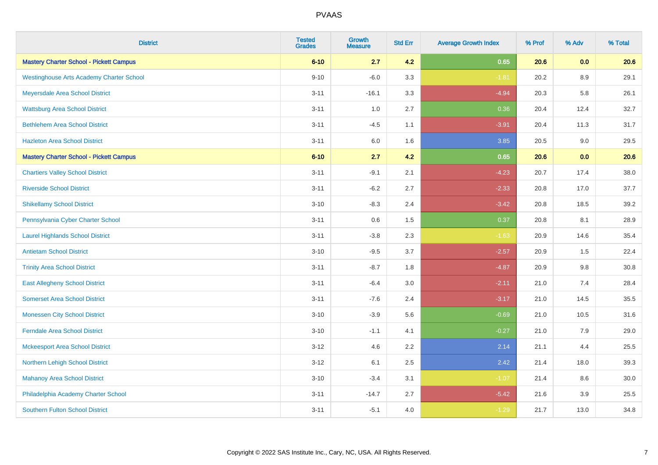| <b>District</b>                                 | <b>Tested</b><br><b>Grades</b> | <b>Growth</b><br><b>Measure</b> | <b>Std Err</b> | <b>Average Growth Index</b> | % Prof | % Adv | % Total |
|-------------------------------------------------|--------------------------------|---------------------------------|----------------|-----------------------------|--------|-------|---------|
| <b>Mastery Charter School - Pickett Campus</b>  | $6 - 10$                       | 2.7                             | 4.2            | 0.65                        | 20.6   | 0.0   | 20.6    |
| <b>Westinghouse Arts Academy Charter School</b> | $9 - 10$                       | $-6.0$                          | 3.3            | $-1.81$                     | 20.2   | 8.9   | 29.1    |
| Meyersdale Area School District                 | $3 - 11$                       | $-16.1$                         | 3.3            | $-4.94$                     | 20.3   | 5.8   | 26.1    |
| <b>Wattsburg Area School District</b>           | $3 - 11$                       | 1.0                             | 2.7            | 0.36                        | 20.4   | 12.4  | 32.7    |
| <b>Bethlehem Area School District</b>           | $3 - 11$                       | $-4.5$                          | 1.1            | $-3.91$                     | 20.4   | 11.3  | 31.7    |
| <b>Hazleton Area School District</b>            | $3 - 11$                       | $6.0\,$                         | 1.6            | 3.85                        | 20.5   | 9.0   | 29.5    |
| <b>Mastery Charter School - Pickett Campus</b>  | $6 - 10$                       | 2.7                             | 4.2            | 0.65                        | 20.6   | 0.0   | 20.6    |
| <b>Chartiers Valley School District</b>         | $3 - 11$                       | $-9.1$                          | 2.1            | $-4.23$                     | 20.7   | 17.4  | 38.0    |
| <b>Riverside School District</b>                | $3 - 11$                       | $-6.2$                          | 2.7            | $-2.33$                     | 20.8   | 17.0  | 37.7    |
| <b>Shikellamy School District</b>               | $3 - 10$                       | $-8.3$                          | 2.4            | $-3.42$                     | 20.8   | 18.5  | 39.2    |
| Pennsylvania Cyber Charter School               | $3 - 11$                       | 0.6                             | 1.5            | 0.37                        | 20.8   | 8.1   | 28.9    |
| <b>Laurel Highlands School District</b>         | $3 - 11$                       | $-3.8$                          | 2.3            | $-1.63$                     | 20.9   | 14.6  | 35.4    |
| <b>Antietam School District</b>                 | $3 - 10$                       | $-9.5$                          | 3.7            | $-2.57$                     | 20.9   | 1.5   | 22.4    |
| <b>Trinity Area School District</b>             | $3 - 11$                       | $-8.7$                          | 1.8            | $-4.87$                     | 20.9   | 9.8   | 30.8    |
| <b>East Allegheny School District</b>           | $3 - 11$                       | $-6.4$                          | 3.0            | $-2.11$                     | 21.0   | 7.4   | 28.4    |
| <b>Somerset Area School District</b>            | $3 - 11$                       | $-7.6$                          | 2.4            | $-3.17$                     | 21.0   | 14.5  | 35.5    |
| <b>Monessen City School District</b>            | $3 - 10$                       | $-3.9$                          | 5.6            | $-0.69$                     | 21.0   | 10.5  | 31.6    |
| <b>Ferndale Area School District</b>            | $3 - 10$                       | $-1.1$                          | 4.1            | $-0.27$                     | 21.0   | 7.9   | 29.0    |
| <b>Mckeesport Area School District</b>          | $3 - 12$                       | 4.6                             | 2.2            | 2.14                        | 21.1   | 4.4   | 25.5    |
| Northern Lehigh School District                 | $3 - 12$                       | 6.1                             | 2.5            | 2.42                        | 21.4   | 18.0  | 39.3    |
| <b>Mahanoy Area School District</b>             | $3 - 10$                       | $-3.4$                          | 3.1            | $-1.07$                     | 21.4   | 8.6   | 30.0    |
| Philadelphia Academy Charter School             | $3 - 11$                       | $-14.7$                         | 2.7            | $-5.42$                     | 21.6   | 3.9   | 25.5    |
| <b>Southern Fulton School District</b>          | $3 - 11$                       | $-5.1$                          | 4.0            | $-1.29$                     | 21.7   | 13.0  | 34.8    |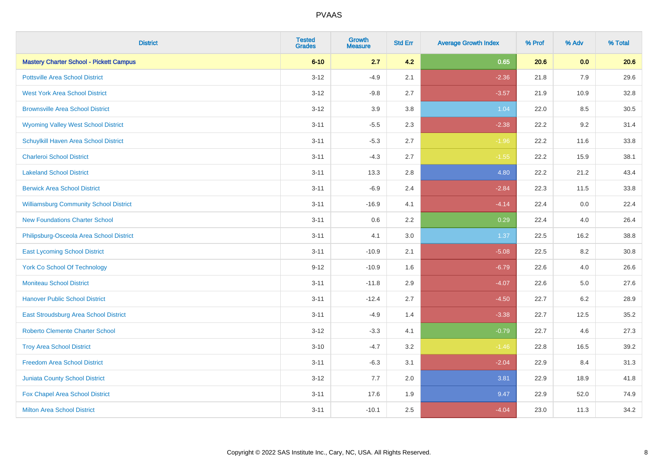| <b>District</b>                                | <b>Tested</b><br><b>Grades</b> | <b>Growth</b><br><b>Measure</b> | <b>Std Err</b> | <b>Average Growth Index</b> | % Prof | % Adv | % Total |
|------------------------------------------------|--------------------------------|---------------------------------|----------------|-----------------------------|--------|-------|---------|
| <b>Mastery Charter School - Pickett Campus</b> | $6 - 10$                       | 2.7                             | 4.2            | 0.65                        | 20.6   | 0.0   | 20.6    |
| <b>Pottsville Area School District</b>         | $3 - 12$                       | $-4.9$                          | 2.1            | $-2.36$                     | 21.8   | 7.9   | 29.6    |
| <b>West York Area School District</b>          | $3 - 12$                       | $-9.8$                          | 2.7            | $-3.57$                     | 21.9   | 10.9  | 32.8    |
| <b>Brownsville Area School District</b>        | $3 - 12$                       | 3.9                             | 3.8            | 1.04                        | 22.0   | 8.5   | 30.5    |
| <b>Wyoming Valley West School District</b>     | $3 - 11$                       | $-5.5$                          | 2.3            | $-2.38$                     | 22.2   | 9.2   | 31.4    |
| Schuylkill Haven Area School District          | $3 - 11$                       | $-5.3$                          | 2.7            | $-1.96$                     | 22.2   | 11.6  | 33.8    |
| <b>Charleroi School District</b>               | $3 - 11$                       | $-4.3$                          | 2.7            | $-1.55$                     | 22.2   | 15.9  | 38.1    |
| <b>Lakeland School District</b>                | $3 - 11$                       | 13.3                            | 2.8            | 4.80                        | 22.2   | 21.2  | 43.4    |
| <b>Berwick Area School District</b>            | $3 - 11$                       | $-6.9$                          | 2.4            | $-2.84$                     | 22.3   | 11.5  | 33.8    |
| <b>Williamsburg Community School District</b>  | $3 - 11$                       | $-16.9$                         | 4.1            | $-4.14$                     | 22.4   | 0.0   | 22.4    |
| <b>New Foundations Charter School</b>          | $3 - 11$                       | 0.6                             | 2.2            | 0.29                        | 22.4   | 4.0   | 26.4    |
| Philipsburg-Osceola Area School District       | $3 - 11$                       | 4.1                             | 3.0            | 1.37                        | 22.5   | 16.2  | 38.8    |
| <b>East Lycoming School District</b>           | $3 - 11$                       | $-10.9$                         | 2.1            | $-5.08$                     | 22.5   | 8.2   | 30.8    |
| <b>York Co School Of Technology</b>            | $9 - 12$                       | $-10.9$                         | 1.6            | $-6.79$                     | 22.6   | 4.0   | 26.6    |
| <b>Moniteau School District</b>                | $3 - 11$                       | $-11.8$                         | 2.9            | $-4.07$                     | 22.6   | 5.0   | 27.6    |
| <b>Hanover Public School District</b>          | $3 - 11$                       | $-12.4$                         | 2.7            | $-4.50$                     | 22.7   | 6.2   | 28.9    |
| East Stroudsburg Area School District          | $3 - 11$                       | $-4.9$                          | 1.4            | $-3.38$                     | 22.7   | 12.5  | 35.2    |
| <b>Roberto Clemente Charter School</b>         | $3 - 12$                       | $-3.3$                          | 4.1            | $-0.79$                     | 22.7   | 4.6   | 27.3    |
| <b>Troy Area School District</b>               | $3 - 10$                       | $-4.7$                          | 3.2            | $-1.46$                     | 22.8   | 16.5  | 39.2    |
| <b>Freedom Area School District</b>            | $3 - 11$                       | $-6.3$                          | 3.1            | $-2.04$                     | 22.9   | 8.4   | 31.3    |
| <b>Juniata County School District</b>          | $3 - 12$                       | 7.7                             | 2.0            | 3.81                        | 22.9   | 18.9  | 41.8    |
| Fox Chapel Area School District                | $3 - 11$                       | 17.6                            | 1.9            | 9.47                        | 22.9   | 52.0  | 74.9    |
| <b>Milton Area School District</b>             | $3 - 11$                       | $-10.1$                         | 2.5            | $-4.04$                     | 23.0   | 11.3  | 34.2    |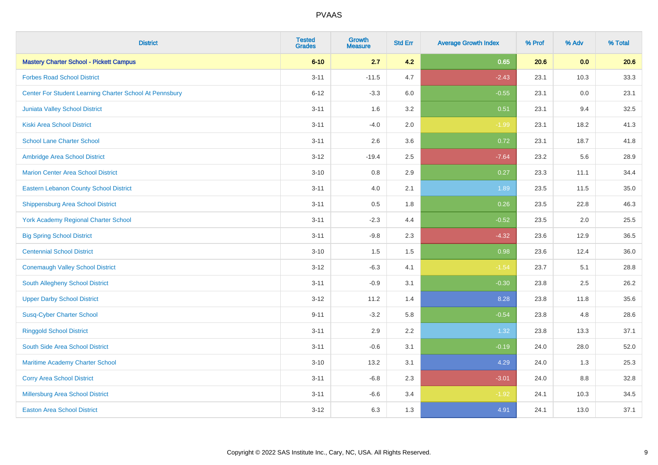| <b>District</b>                                         | <b>Tested</b><br><b>Grades</b> | <b>Growth</b><br><b>Measure</b> | <b>Std Err</b> | <b>Average Growth Index</b> | % Prof | % Adv | % Total |
|---------------------------------------------------------|--------------------------------|---------------------------------|----------------|-----------------------------|--------|-------|---------|
| <b>Mastery Charter School - Pickett Campus</b>          | $6 - 10$                       | 2.7                             | 4.2            | 0.65                        | 20.6   | 0.0   | 20.6    |
| <b>Forbes Road School District</b>                      | $3 - 11$                       | $-11.5$                         | 4.7            | $-2.43$                     | 23.1   | 10.3  | 33.3    |
| Center For Student Learning Charter School At Pennsbury | $6 - 12$                       | $-3.3$                          | 6.0            | $-0.55$                     | 23.1   | 0.0   | 23.1    |
| Juniata Valley School District                          | $3 - 11$                       | 1.6                             | 3.2            | 0.51                        | 23.1   | 9.4   | 32.5    |
| <b>Kiski Area School District</b>                       | $3 - 11$                       | $-4.0$                          | 2.0            | $-1.99$                     | 23.1   | 18.2  | 41.3    |
| <b>School Lane Charter School</b>                       | $3 - 11$                       | 2.6                             | 3.6            | 0.72                        | 23.1   | 18.7  | 41.8    |
| Ambridge Area School District                           | $3 - 12$                       | $-19.4$                         | 2.5            | $-7.64$                     | 23.2   | 5.6   | 28.9    |
| <b>Marion Center Area School District</b>               | $3 - 10$                       | 0.8                             | 2.9            | 0.27                        | 23.3   | 11.1  | 34.4    |
| <b>Eastern Lebanon County School District</b>           | $3 - 11$                       | 4.0                             | 2.1            | 1.89                        | 23.5   | 11.5  | 35.0    |
| <b>Shippensburg Area School District</b>                | $3 - 11$                       | 0.5                             | 1.8            | 0.26                        | 23.5   | 22.8  | 46.3    |
| <b>York Academy Regional Charter School</b>             | $3 - 11$                       | $-2.3$                          | 4.4            | $-0.52$                     | 23.5   | 2.0   | 25.5    |
| <b>Big Spring School District</b>                       | $3 - 11$                       | $-9.8$                          | 2.3            | $-4.32$                     | 23.6   | 12.9  | 36.5    |
| <b>Centennial School District</b>                       | $3 - 10$                       | 1.5                             | 1.5            | 0.98                        | 23.6   | 12.4  | 36.0    |
| <b>Conemaugh Valley School District</b>                 | $3 - 12$                       | $-6.3$                          | 4.1            | $-1.54$                     | 23.7   | 5.1   | 28.8    |
| South Allegheny School District                         | $3 - 11$                       | $-0.9$                          | 3.1            | $-0.30$                     | 23.8   | 2.5   | 26.2    |
| <b>Upper Darby School District</b>                      | $3 - 12$                       | 11.2                            | 1.4            | 8.28                        | 23.8   | 11.8  | 35.6    |
| <b>Susq-Cyber Charter School</b>                        | $9 - 11$                       | $-3.2$                          | 5.8            | $-0.54$                     | 23.8   | 4.8   | 28.6    |
| <b>Ringgold School District</b>                         | $3 - 11$                       | 2.9                             | 2.2            | 1.32                        | 23.8   | 13.3  | 37.1    |
| South Side Area School District                         | $3 - 11$                       | $-0.6$                          | 3.1            | $-0.19$                     | 24.0   | 28.0  | 52.0    |
| Maritime Academy Charter School                         | $3 - 10$                       | 13.2                            | 3.1            | 4.29                        | 24.0   | 1.3   | 25.3    |
| <b>Corry Area School District</b>                       | $3 - 11$                       | $-6.8$                          | 2.3            | $-3.01$                     | 24.0   | 8.8   | 32.8    |
| Millersburg Area School District                        | $3 - 11$                       | $-6.6$                          | 3.4            | $-1.92$                     | 24.1   | 10.3  | 34.5    |
| <b>Easton Area School District</b>                      | $3 - 12$                       | 6.3                             | 1.3            | 4.91                        | 24.1   | 13.0  | 37.1    |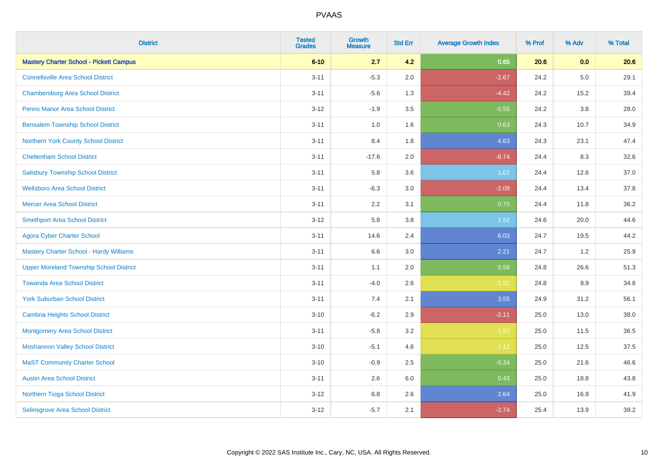| <b>District</b>                                | <b>Tested</b><br><b>Grades</b> | <b>Growth</b><br><b>Measure</b> | <b>Std Err</b> | <b>Average Growth Index</b> | % Prof | % Adv   | % Total |
|------------------------------------------------|--------------------------------|---------------------------------|----------------|-----------------------------|--------|---------|---------|
| <b>Mastery Charter School - Pickett Campus</b> | $6 - 10$                       | 2.7                             | 4.2            | 0.65                        | 20.6   | 0.0     | 20.6    |
| <b>Connellsville Area School District</b>      | $3 - 11$                       | $-5.3$                          | 2.0            | $-2.67$                     | 24.2   | $5.0\,$ | 29.1    |
| <b>Chambersburg Area School District</b>       | $3 - 11$                       | $-5.6$                          | 1.3            | $-4.42$                     | 24.2   | 15.2    | 39.4    |
| <b>Penns Manor Area School District</b>        | $3 - 12$                       | $-1.9$                          | 3.5            | $-0.55$                     | 24.2   | $3.8\,$ | 28.0    |
| <b>Bensalem Township School District</b>       | $3 - 11$                       | 1.0                             | 1.6            | 0.63                        | 24.3   | 10.7    | 34.9    |
| Northern York County School District           | $3 - 11$                       | 8.4                             | 1.8            | 4.63                        | 24.3   | 23.1    | 47.4    |
| <b>Cheltenham School District</b>              | $3 - 11$                       | $-17.6$                         | 2.0            | $-8.74$                     | 24.4   | 8.3     | 32.6    |
| <b>Salisbury Township School District</b>      | $3 - 11$                       | 5.8                             | 3.6            | 1.62                        | 24.4   | 12.6    | 37.0    |
| <b>Wellsboro Area School District</b>          | $3 - 11$                       | $-6.3$                          | 3.0            | $-2.08$                     | 24.4   | 13.4    | 37.8    |
| <b>Mercer Area School District</b>             | $3 - 11$                       | $2.2\,$                         | 3.1            | 0.70                        | 24.4   | 11.8    | 36.2    |
| <b>Smethport Area School District</b>          | $3 - 12$                       | 5.8                             | 3.8            | 1.52                        | 24.6   | 20.0    | 44.6    |
| <b>Agora Cyber Charter School</b>              | $3 - 11$                       | 14.6                            | 2.4            | 6.03                        | 24.7   | 19.5    | 44.2    |
| Mastery Charter School - Hardy Williams        | $3 - 11$                       | 6.6                             | 3.0            | 2.21                        | 24.7   | 1.2     | 25.9    |
| <b>Upper Moreland Township School District</b> | $3 - 11$                       | 1.1                             | 2.0            | 0.56                        | 24.8   | 26.6    | 51.3    |
| <b>Towanda Area School District</b>            | $3 - 11$                       | $-4.0$                          | 2.6            | $-1.52$                     | 24.8   | 9.9     | 34.8    |
| <b>York Suburban School District</b>           | $3 - 11$                       | 7.4                             | 2.1            | 3.55                        | 24.9   | 31.2    | 56.1    |
| Cambria Heights School District                | $3 - 10$                       | $-6.2$                          | 2.9            | $-2.11$                     | 25.0   | 13.0    | 38.0    |
| Montgomery Area School District                | $3 - 11$                       | $-5.8$                          | 3.2            | $-1.83$                     | 25.0   | 11.5    | 36.5    |
| <b>Moshannon Valley School District</b>        | $3 - 10$                       | $-5.1$                          | 4.6            | $-1.12$                     | 25.0   | 12.5    | 37.5    |
| <b>MaST Community Charter School</b>           | $3 - 10$                       | $-0.9$                          | 2.5            | $-0.34$                     | 25.0   | 21.6    | 46.6    |
| <b>Austin Area School District</b>             | $3 - 11$                       | 2.6                             | 6.0            | 0.43                        | 25.0   | 18.8    | 43.8    |
| Northern Tioga School District                 | $3 - 12$                       | 6.8                             | 2.6            | 2.64                        | 25.0   | 16.9    | 41.9    |
| Selinsgrove Area School District               | $3 - 12$                       | $-5.7$                          | 2.1            | $-2.74$                     | 25.4   | 13.9    | 39.2    |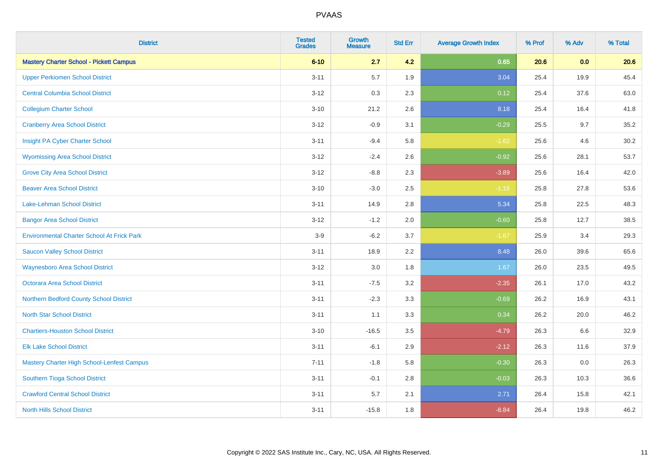| <b>District</b>                                   | <b>Tested</b><br><b>Grades</b> | <b>Growth</b><br><b>Measure</b> | <b>Std Err</b> | <b>Average Growth Index</b> | % Prof | % Adv | % Total |
|---------------------------------------------------|--------------------------------|---------------------------------|----------------|-----------------------------|--------|-------|---------|
| <b>Mastery Charter School - Pickett Campus</b>    | $6 - 10$                       | 2.7                             | 4.2            | 0.65                        | 20.6   | 0.0   | 20.6    |
| <b>Upper Perkiomen School District</b>            | $3 - 11$                       | 5.7                             | 1.9            | 3.04                        | 25.4   | 19.9  | 45.4    |
| <b>Central Columbia School District</b>           | $3 - 12$                       | 0.3                             | 2.3            | 0.12                        | 25.4   | 37.6  | 63.0    |
| <b>Collegium Charter School</b>                   | $3 - 10$                       | 21.2                            | 2.6            | 8.18                        | 25.4   | 16.4  | 41.8    |
| <b>Cranberry Area School District</b>             | $3-12$                         | $-0.9$                          | 3.1            | $-0.29$                     | 25.5   | 9.7   | 35.2    |
| Insight PA Cyber Charter School                   | $3 - 11$                       | $-9.4$                          | 5.8            | $-1.62$                     | 25.6   | 4.6   | 30.2    |
| <b>Wyomissing Area School District</b>            | $3 - 12$                       | $-2.4$                          | 2.6            | $-0.92$                     | 25.6   | 28.1  | 53.7    |
| <b>Grove City Area School District</b>            | $3-12$                         | $-8.8$                          | 2.3            | $-3.89$                     | 25.6   | 16.4  | 42.0    |
| <b>Beaver Area School District</b>                | $3 - 10$                       | $-3.0$                          | 2.5            | $-1.16$                     | 25.8   | 27.8  | 53.6    |
| Lake-Lehman School District                       | $3 - 11$                       | 14.9                            | 2.8            | 5.34                        | 25.8   | 22.5  | 48.3    |
| <b>Bangor Area School District</b>                | $3 - 12$                       | $-1.2$                          | 2.0            | $-0.60$                     | 25.8   | 12.7  | 38.5    |
| <b>Environmental Charter School At Frick Park</b> | $3-9$                          | $-6.2$                          | 3.7            | $-1.67$                     | 25.9   | 3.4   | 29.3    |
| <b>Saucon Valley School District</b>              | $3 - 11$                       | 18.9                            | 2.2            | 8.48                        | 26.0   | 39.6  | 65.6    |
| <b>Waynesboro Area School District</b>            | $3 - 12$                       | 3.0                             | 1.8            | 1.67                        | 26.0   | 23.5  | 49.5    |
| <b>Octorara Area School District</b>              | $3 - 11$                       | $-7.5$                          | 3.2            | $-2.35$                     | 26.1   | 17.0  | 43.2    |
| Northern Bedford County School District           | $3 - 11$                       | $-2.3$                          | 3.3            | $-0.69$                     | 26.2   | 16.9  | 43.1    |
| <b>North Star School District</b>                 | $3 - 11$                       | 1.1                             | 3.3            | 0.34                        | 26.2   | 20.0  | 46.2    |
| <b>Chartiers-Houston School District</b>          | $3 - 10$                       | $-16.5$                         | 3.5            | $-4.79$                     | 26.3   | 6.6   | 32.9    |
| <b>Elk Lake School District</b>                   | $3 - 11$                       | $-6.1$                          | 2.9            | $-2.12$                     | 26.3   | 11.6  | 37.9    |
| Mastery Charter High School-Lenfest Campus        | $7 - 11$                       | $-1.8$                          | 5.8            | $-0.30$                     | 26.3   | 0.0   | 26.3    |
| Southern Tioga School District                    | $3 - 11$                       | $-0.1$                          | 2.8            | $-0.03$                     | 26.3   | 10.3  | 36.6    |
| <b>Crawford Central School District</b>           | $3 - 11$                       | 5.7                             | 2.1            | 2.71                        | 26.4   | 15.8  | 42.1    |
| <b>North Hills School District</b>                | $3 - 11$                       | $-15.8$                         | 1.8            | $-8.84$                     | 26.4   | 19.8  | 46.2    |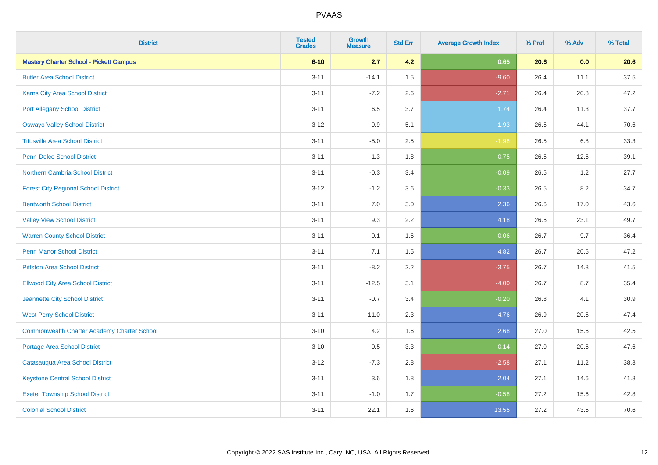| <b>District</b>                                    | <b>Tested</b><br><b>Grades</b> | Growth<br><b>Measure</b> | <b>Std Err</b> | <b>Average Growth Index</b> | % Prof | % Adv   | % Total |
|----------------------------------------------------|--------------------------------|--------------------------|----------------|-----------------------------|--------|---------|---------|
| <b>Mastery Charter School - Pickett Campus</b>     | $6 - 10$                       | 2.7                      | 4.2            | 0.65                        | 20.6   | 0.0     | 20.6    |
| <b>Butler Area School District</b>                 | $3 - 11$                       | $-14.1$                  | 1.5            | $-9.60$                     | 26.4   | 11.1    | 37.5    |
| Karns City Area School District                    | $3 - 11$                       | $-7.2$                   | 2.6            | $-2.71$                     | 26.4   | 20.8    | 47.2    |
| <b>Port Allegany School District</b>               | $3 - 11$                       | 6.5                      | 3.7            | 1.74                        | 26.4   | 11.3    | 37.7    |
| <b>Oswayo Valley School District</b>               | $3 - 12$                       | 9.9                      | 5.1            | 1.93                        | 26.5   | 44.1    | 70.6    |
| <b>Titusville Area School District</b>             | $3 - 11$                       | $-5.0$                   | 2.5            | $-1.98$                     | 26.5   | $6.8\,$ | 33.3    |
| <b>Penn-Delco School District</b>                  | $3 - 11$                       | 1.3                      | 1.8            | 0.75                        | 26.5   | 12.6    | 39.1    |
| Northern Cambria School District                   | $3 - 11$                       | $-0.3$                   | 3.4            | $-0.09$                     | 26.5   | 1.2     | 27.7    |
| <b>Forest City Regional School District</b>        | $3 - 12$                       | $-1.2$                   | 3.6            | $-0.33$                     | 26.5   | 8.2     | 34.7    |
| <b>Bentworth School District</b>                   | $3 - 11$                       | 7.0                      | 3.0            | 2.36                        | 26.6   | 17.0    | 43.6    |
| <b>Valley View School District</b>                 | $3 - 11$                       | 9.3                      | 2.2            | 4.18                        | 26.6   | 23.1    | 49.7    |
| <b>Warren County School District</b>               | $3 - 11$                       | $-0.1$                   | 1.6            | $-0.06$                     | 26.7   | 9.7     | 36.4    |
| Penn Manor School District                         | $3 - 11$                       | 7.1                      | 1.5            | 4.82                        | 26.7   | 20.5    | 47.2    |
| <b>Pittston Area School District</b>               | $3 - 11$                       | $-8.2$                   | 2.2            | $-3.75$                     | 26.7   | 14.8    | 41.5    |
| <b>Ellwood City Area School District</b>           | $3 - 11$                       | $-12.5$                  | 3.1            | $-4.00$                     | 26.7   | 8.7     | 35.4    |
| Jeannette City School District                     | $3 - 11$                       | $-0.7$                   | 3.4            | $-0.20$                     | 26.8   | 4.1     | 30.9    |
| <b>West Perry School District</b>                  | $3 - 11$                       | 11.0                     | 2.3            | 4.76                        | 26.9   | 20.5    | 47.4    |
| <b>Commonwealth Charter Academy Charter School</b> | $3 - 10$                       | 4.2                      | 1.6            | 2.68                        | 27.0   | 15.6    | 42.5    |
| Portage Area School District                       | $3 - 10$                       | $-0.5$                   | 3.3            | $-0.14$                     | 27.0   | 20.6    | 47.6    |
| Catasauqua Area School District                    | $3 - 12$                       | $-7.3$                   | 2.8            | $-2.58$                     | 27.1   | 11.2    | 38.3    |
| <b>Keystone Central School District</b>            | $3 - 11$                       | 3.6                      | 1.8            | 2.04                        | 27.1   | 14.6    | 41.8    |
| <b>Exeter Township School District</b>             | $3 - 11$                       | $-1.0$                   | 1.7            | $-0.58$                     | 27.2   | 15.6    | 42.8    |
| <b>Colonial School District</b>                    | $3 - 11$                       | 22.1                     | 1.6            | 13.55                       | 27.2   | 43.5    | 70.6    |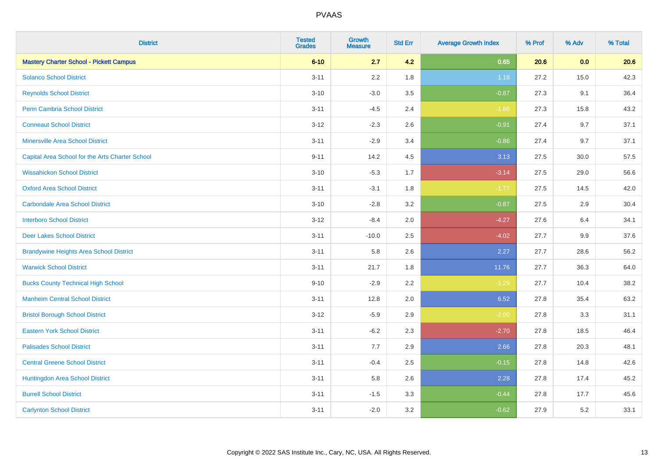| <b>District</b>                                 | <b>Tested</b><br><b>Grades</b> | <b>Growth</b><br><b>Measure</b> | <b>Std Err</b> | <b>Average Growth Index</b> | % Prof | % Adv | % Total |
|-------------------------------------------------|--------------------------------|---------------------------------|----------------|-----------------------------|--------|-------|---------|
| <b>Mastery Charter School - Pickett Campus</b>  | $6 - 10$                       | 2.7                             | 4.2            | 0.65                        | 20.6   | 0.0   | 20.6    |
| <b>Solanco School District</b>                  | $3 - 11$                       | 2.2                             | 1.8            | 1.18                        | 27.2   | 15.0  | 42.3    |
| <b>Reynolds School District</b>                 | $3 - 10$                       | $-3.0$                          | 3.5            | $-0.87$                     | 27.3   | 9.1   | 36.4    |
| Penn Cambria School District                    | $3 - 11$                       | $-4.5$                          | 2.4            | $-1.86$                     | 27.3   | 15.8  | 43.2    |
| <b>Conneaut School District</b>                 | $3-12$                         | $-2.3$                          | 2.6            | $-0.91$                     | 27.4   | 9.7   | 37.1    |
| <b>Minersville Area School District</b>         | $3 - 11$                       | $-2.9$                          | 3.4            | $-0.86$                     | 27.4   | 9.7   | 37.1    |
| Capital Area School for the Arts Charter School | $9 - 11$                       | 14.2                            | 4.5            | 3.13                        | 27.5   | 30.0  | 57.5    |
| <b>Wissahickon School District</b>              | $3 - 10$                       | $-5.3$                          | 1.7            | $-3.14$                     | 27.5   | 29.0  | 56.6    |
| <b>Oxford Area School District</b>              | $3 - 11$                       | $-3.1$                          | 1.8            | $-1.77$                     | 27.5   | 14.5  | 42.0    |
| <b>Carbondale Area School District</b>          | $3 - 10$                       | $-2.8$                          | 3.2            | $-0.87$                     | 27.5   | 2.9   | 30.4    |
| <b>Interboro School District</b>                | $3-12$                         | $-8.4$                          | 2.0            | $-4.27$                     | 27.6   | 6.4   | 34.1    |
| <b>Deer Lakes School District</b>               | $3 - 11$                       | $-10.0$                         | 2.5            | $-4.02$                     | 27.7   | 9.9   | 37.6    |
| <b>Brandywine Heights Area School District</b>  | $3 - 11$                       | 5.8                             | 2.6            | 2.27                        | 27.7   | 28.6  | 56.2    |
| <b>Warwick School District</b>                  | $3 - 11$                       | 21.7                            | 1.8            | 11.76                       | 27.7   | 36.3  | 64.0    |
| <b>Bucks County Technical High School</b>       | $9 - 10$                       | $-2.9$                          | 2.2            | $-1.29$                     | 27.7   | 10.4  | 38.2    |
| <b>Manheim Central School District</b>          | $3 - 11$                       | 12.8                            | 2.0            | 6.52                        | 27.8   | 35.4  | 63.2    |
| <b>Bristol Borough School District</b>          | $3-12$                         | $-5.9$                          | 2.9            | $-2.00$                     | 27.8   | 3.3   | 31.1    |
| <b>Eastern York School District</b>             | $3 - 11$                       | $-6.2$                          | 2.3            | $-2.70$                     | 27.8   | 18.5  | 46.4    |
| <b>Palisades School District</b>                | $3 - 11$                       | 7.7                             | 2.9            | 2.66                        | 27.8   | 20.3  | 48.1    |
| <b>Central Greene School District</b>           | $3 - 11$                       | $-0.4$                          | 2.5            | $-0.15$                     | 27.8   | 14.8  | 42.6    |
| Huntingdon Area School District                 | $3 - 11$                       | 5.8                             | 2.6            | 2.28                        | 27.8   | 17.4  | 45.2    |
| <b>Burrell School District</b>                  | $3 - 11$                       | $-1.5$                          | 3.3            | $-0.44$                     | 27.8   | 17.7  | 45.6    |
| <b>Carlynton School District</b>                | $3 - 11$                       | $-2.0$                          | 3.2            | $-0.62$                     | 27.9   | 5.2   | 33.1    |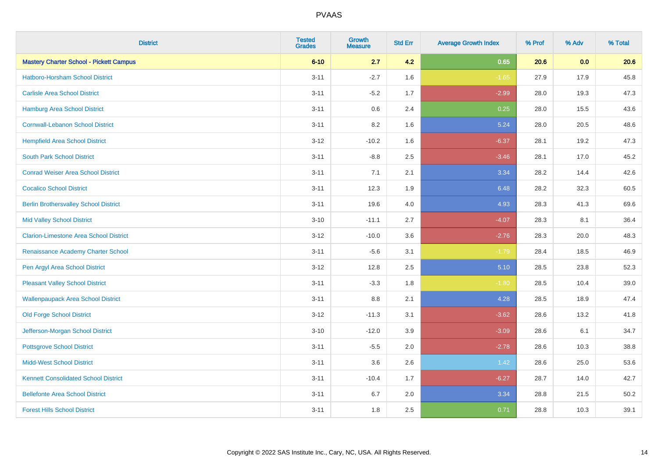| <b>District</b>                                | <b>Tested</b><br><b>Grades</b> | Growth<br><b>Measure</b> | <b>Std Err</b> | <b>Average Growth Index</b> | % Prof | % Adv | % Total |
|------------------------------------------------|--------------------------------|--------------------------|----------------|-----------------------------|--------|-------|---------|
| <b>Mastery Charter School - Pickett Campus</b> | $6 - 10$                       | 2.7                      | 4.2            | 0.65                        | 20.6   | 0.0   | 20.6    |
| Hatboro-Horsham School District                | $3 - 11$                       | $-2.7$                   | 1.6            | $-1.65$                     | 27.9   | 17.9  | 45.8    |
| <b>Carlisle Area School District</b>           | $3 - 11$                       | $-5.2$                   | 1.7            | $-2.99$                     | 28.0   | 19.3  | 47.3    |
| Hamburg Area School District                   | $3 - 11$                       | 0.6                      | 2.4            | 0.25                        | 28.0   | 15.5  | 43.6    |
| <b>Cornwall-Lebanon School District</b>        | $3 - 11$                       | 8.2                      | 1.6            | 5.24                        | 28.0   | 20.5  | 48.6    |
| <b>Hempfield Area School District</b>          | $3 - 12$                       | $-10.2$                  | 1.6            | $-6.37$                     | 28.1   | 19.2  | 47.3    |
| <b>South Park School District</b>              | $3 - 11$                       | $-8.8$                   | 2.5            | $-3.46$                     | 28.1   | 17.0  | 45.2    |
| <b>Conrad Weiser Area School District</b>      | $3 - 11$                       | 7.1                      | 2.1            | 3.34                        | 28.2   | 14.4  | 42.6    |
| <b>Cocalico School District</b>                | $3 - 11$                       | 12.3                     | 1.9            | 6.48                        | 28.2   | 32.3  | 60.5    |
| <b>Berlin Brothersvalley School District</b>   | $3 - 11$                       | 19.6                     | 4.0            | 4.93                        | 28.3   | 41.3  | 69.6    |
| <b>Mid Valley School District</b>              | $3 - 10$                       | $-11.1$                  | 2.7            | $-4.07$                     | 28.3   | 8.1   | 36.4    |
| <b>Clarion-Limestone Area School District</b>  | $3 - 12$                       | $-10.0$                  | 3.6            | $-2.76$                     | 28.3   | 20.0  | 48.3    |
| Renaissance Academy Charter School             | $3 - 11$                       | $-5.6$                   | 3.1            | $-1.79$                     | 28.4   | 18.5  | 46.9    |
| Pen Argyl Area School District                 | $3 - 12$                       | 12.8                     | 2.5            | 5.10                        | 28.5   | 23.8  | 52.3    |
| <b>Pleasant Valley School District</b>         | $3 - 11$                       | $-3.3$                   | 1.8            | $-1.80$                     | 28.5   | 10.4  | 39.0    |
| <b>Wallenpaupack Area School District</b>      | $3 - 11$                       | 8.8                      | 2.1            | 4.28                        | 28.5   | 18.9  | 47.4    |
| <b>Old Forge School District</b>               | $3 - 12$                       | $-11.3$                  | 3.1            | $-3.62$                     | 28.6   | 13.2  | 41.8    |
| Jefferson-Morgan School District               | $3 - 10$                       | $-12.0$                  | 3.9            | $-3.09$                     | 28.6   | 6.1   | 34.7    |
| <b>Pottsgrove School District</b>              | $3 - 11$                       | $-5.5$                   | 2.0            | $-2.78$                     | 28.6   | 10.3  | 38.8    |
| <b>Midd-West School District</b>               | $3 - 11$                       | 3.6                      | 2.6            | 1.42                        | 28.6   | 25.0  | 53.6    |
| <b>Kennett Consolidated School District</b>    | $3 - 11$                       | $-10.4$                  | 1.7            | $-6.27$                     | 28.7   | 14.0  | 42.7    |
| <b>Bellefonte Area School District</b>         | $3 - 11$                       | 6.7                      | 2.0            | 3.34                        | 28.8   | 21.5  | 50.2    |
| <b>Forest Hills School District</b>            | $3 - 11$                       | 1.8                      | 2.5            | 0.71                        | 28.8   | 10.3  | 39.1    |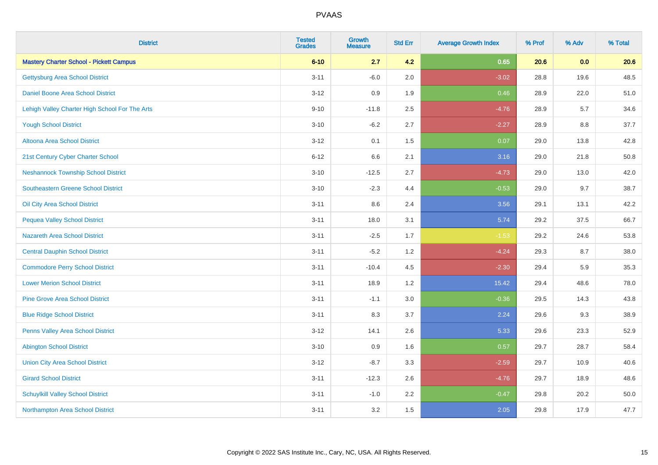| <b>District</b>                                | <b>Tested</b><br><b>Grades</b> | <b>Growth</b><br><b>Measure</b> | <b>Std Err</b> | <b>Average Growth Index</b> | % Prof | % Adv | % Total |
|------------------------------------------------|--------------------------------|---------------------------------|----------------|-----------------------------|--------|-------|---------|
| <b>Mastery Charter School - Pickett Campus</b> | $6 - 10$                       | 2.7                             | 4.2            | 0.65                        | 20.6   | 0.0   | 20.6    |
| <b>Gettysburg Area School District</b>         | $3 - 11$                       | $-6.0$                          | 2.0            | $-3.02$                     | 28.8   | 19.6  | 48.5    |
| Daniel Boone Area School District              | $3 - 12$                       | 0.9                             | 1.9            | 0.46                        | 28.9   | 22.0  | 51.0    |
| Lehigh Valley Charter High School For The Arts | $9 - 10$                       | $-11.8$                         | 2.5            | $-4.76$                     | 28.9   | 5.7   | 34.6    |
| <b>Yough School District</b>                   | $3 - 10$                       | $-6.2$                          | 2.7            | $-2.27$                     | 28.9   | 8.8   | 37.7    |
| Altoona Area School District                   | $3 - 12$                       | 0.1                             | 1.5            | 0.07                        | 29.0   | 13.8  | 42.8    |
| 21st Century Cyber Charter School              | $6 - 12$                       | 6.6                             | 2.1            | 3.16                        | 29.0   | 21.8  | 50.8    |
| <b>Neshannock Township School District</b>     | $3 - 10$                       | $-12.5$                         | 2.7            | $-4.73$                     | 29.0   | 13.0  | 42.0    |
| Southeastern Greene School District            | $3 - 10$                       | $-2.3$                          | 4.4            | $-0.53$                     | 29.0   | 9.7   | 38.7    |
| Oil City Area School District                  | $3 - 11$                       | 8.6                             | 2.4            | 3.56                        | 29.1   | 13.1  | 42.2    |
| <b>Pequea Valley School District</b>           | $3 - 11$                       | 18.0                            | 3.1            | 5.74                        | 29.2   | 37.5  | 66.7    |
| <b>Nazareth Area School District</b>           | $3 - 11$                       | $-2.5$                          | 1.7            | $-1.53$                     | 29.2   | 24.6  | 53.8    |
| <b>Central Dauphin School District</b>         | $3 - 11$                       | $-5.2$                          | 1.2            | $-4.24$                     | 29.3   | 8.7   | 38.0    |
| <b>Commodore Perry School District</b>         | $3 - 11$                       | $-10.4$                         | 4.5            | $-2.30$                     | 29.4   | 5.9   | 35.3    |
| <b>Lower Merion School District</b>            | $3 - 11$                       | 18.9                            | 1.2            | 15.42                       | 29.4   | 48.6  | 78.0    |
| <b>Pine Grove Area School District</b>         | $3 - 11$                       | $-1.1$                          | 3.0            | $-0.36$                     | 29.5   | 14.3  | 43.8    |
| <b>Blue Ridge School District</b>              | $3 - 11$                       | 8.3                             | 3.7            | 2.24                        | 29.6   | 9.3   | 38.9    |
| Penns Valley Area School District              | $3 - 12$                       | 14.1                            | 2.6            | 5.33                        | 29.6   | 23.3  | 52.9    |
| <b>Abington School District</b>                | $3 - 10$                       | 0.9                             | 1.6            | 0.57                        | 29.7   | 28.7  | 58.4    |
| <b>Union City Area School District</b>         | $3 - 12$                       | $-8.7$                          | 3.3            | $-2.59$                     | 29.7   | 10.9  | 40.6    |
| <b>Girard School District</b>                  | $3 - 11$                       | $-12.3$                         | 2.6            | $-4.76$                     | 29.7   | 18.9  | 48.6    |
| <b>Schuylkill Valley School District</b>       | $3 - 11$                       | $-1.0$                          | 2.2            | $-0.47$                     | 29.8   | 20.2  | 50.0    |
| Northampton Area School District               | $3 - 11$                       | 3.2                             | 1.5            | 2.05                        | 29.8   | 17.9  | 47.7    |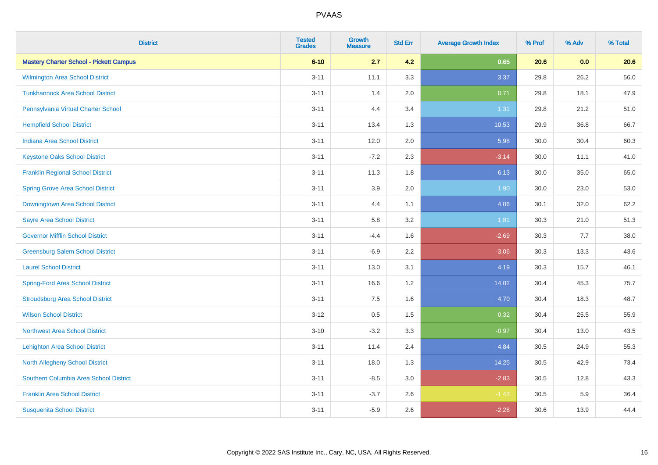| <b>District</b>                                | <b>Tested</b><br><b>Grades</b> | <b>Growth</b><br><b>Measure</b> | <b>Std Err</b> | <b>Average Growth Index</b> | % Prof | % Adv | % Total |
|------------------------------------------------|--------------------------------|---------------------------------|----------------|-----------------------------|--------|-------|---------|
| <b>Mastery Charter School - Pickett Campus</b> | $6 - 10$                       | 2.7                             | 4.2            | 0.65                        | 20.6   | 0.0   | 20.6    |
| Wilmington Area School District                | $3 - 11$                       | 11.1                            | 3.3            | 3.37                        | 29.8   | 26.2  | 56.0    |
| <b>Tunkhannock Area School District</b>        | $3 - 11$                       | 1.4                             | 2.0            | 0.71                        | 29.8   | 18.1  | 47.9    |
| Pennsylvania Virtual Charter School            | $3 - 11$                       | 4.4                             | 3.4            | 1.31                        | 29.8   | 21.2  | 51.0    |
| <b>Hempfield School District</b>               | $3 - 11$                       | 13.4                            | 1.3            | 10.53                       | 29.9   | 36.8  | 66.7    |
| <b>Indiana Area School District</b>            | $3 - 11$                       | 12.0                            | 2.0            | 5.98                        | 30.0   | 30.4  | 60.3    |
| <b>Keystone Oaks School District</b>           | $3 - 11$                       | $-7.2$                          | 2.3            | $-3.14$                     | 30.0   | 11.1  | 41.0    |
| <b>Franklin Regional School District</b>       | $3 - 11$                       | 11.3                            | 1.8            | 6.13                        | 30.0   | 35.0  | 65.0    |
| <b>Spring Grove Area School District</b>       | $3 - 11$                       | 3.9                             | 2.0            | 1.90                        | 30.0   | 23.0  | 53.0    |
| Downingtown Area School District               | $3 - 11$                       | 4.4                             | 1.1            | 4.06                        | 30.1   | 32.0  | 62.2    |
| <b>Sayre Area School District</b>              | $3 - 11$                       | 5.8                             | 3.2            | 1.81                        | 30.3   | 21.0  | 51.3    |
| <b>Governor Mifflin School District</b>        | $3 - 11$                       | $-4.4$                          | 1.6            | $-2.69$                     | 30.3   | 7.7   | 38.0    |
| <b>Greensburg Salem School District</b>        | $3 - 11$                       | $-6.9$                          | 2.2            | $-3.06$                     | 30.3   | 13.3  | 43.6    |
| <b>Laurel School District</b>                  | $3 - 11$                       | 13.0                            | 3.1            | 4.19                        | 30.3   | 15.7  | 46.1    |
| <b>Spring-Ford Area School District</b>        | $3 - 11$                       | 16.6                            | 1.2            | 14.02                       | 30.4   | 45.3  | 75.7    |
| <b>Stroudsburg Area School District</b>        | $3 - 11$                       | 7.5                             | 1.6            | 4.70                        | 30.4   | 18.3  | 48.7    |
| <b>Wilson School District</b>                  | $3 - 12$                       | 0.5                             | 1.5            | 0.32                        | 30.4   | 25.5  | 55.9    |
| <b>Northwest Area School District</b>          | $3 - 10$                       | $-3.2$                          | 3.3            | $-0.97$                     | 30.4   | 13.0  | 43.5    |
| <b>Lehighton Area School District</b>          | $3 - 11$                       | 11.4                            | 2.4            | 4.84                        | 30.5   | 24.9  | 55.3    |
| <b>North Allegheny School District</b>         | $3 - 11$                       | 18.0                            | 1.3            | 14.25                       | 30.5   | 42.9  | 73.4    |
| Southern Columbia Area School District         | $3 - 11$                       | $-8.5$                          | 3.0            | $-2.83$                     | 30.5   | 12.8  | 43.3    |
| <b>Franklin Area School District</b>           | $3 - 11$                       | $-3.7$                          | 2.6            | $-1.43$                     | 30.5   | 5.9   | 36.4    |
| <b>Susquenita School District</b>              | $3 - 11$                       | $-5.9$                          | 2.6            | $-2.28$                     | 30.6   | 13.9  | 44.4    |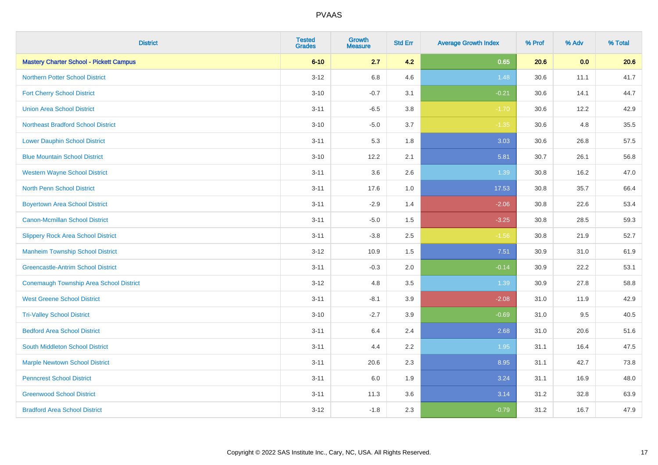| <b>District</b>                                | <b>Tested</b><br><b>Grades</b> | Growth<br><b>Measure</b> | <b>Std Err</b> | <b>Average Growth Index</b> | % Prof | % Adv | % Total |
|------------------------------------------------|--------------------------------|--------------------------|----------------|-----------------------------|--------|-------|---------|
| <b>Mastery Charter School - Pickett Campus</b> | $6 - 10$                       | 2.7                      | 4.2            | 0.65                        | 20.6   | 0.0   | 20.6    |
| <b>Northern Potter School District</b>         | $3 - 12$                       | 6.8                      | 4.6            | 1.48                        | 30.6   | 11.1  | 41.7    |
| <b>Fort Cherry School District</b>             | $3 - 10$                       | $-0.7$                   | 3.1            | $-0.21$                     | 30.6   | 14.1  | 44.7    |
| <b>Union Area School District</b>              | $3 - 11$                       | $-6.5$                   | 3.8            | $-1.70$                     | 30.6   | 12.2  | 42.9    |
| <b>Northeast Bradford School District</b>      | $3 - 10$                       | $-5.0$                   | 3.7            | $-1.35$                     | 30.6   | 4.8   | 35.5    |
| <b>Lower Dauphin School District</b>           | $3 - 11$                       | 5.3                      | 1.8            | 3.03                        | 30.6   | 26.8  | 57.5    |
| <b>Blue Mountain School District</b>           | $3 - 10$                       | 12.2                     | 2.1            | 5.81                        | 30.7   | 26.1  | 56.8    |
| <b>Western Wayne School District</b>           | $3 - 11$                       | 3.6                      | 2.6            | 1.39                        | 30.8   | 16.2  | 47.0    |
| <b>North Penn School District</b>              | $3 - 11$                       | 17.6                     | 1.0            | 17.53                       | 30.8   | 35.7  | 66.4    |
| <b>Boyertown Area School District</b>          | $3 - 11$                       | $-2.9$                   | 1.4            | $-2.06$                     | 30.8   | 22.6  | 53.4    |
| <b>Canon-Mcmillan School District</b>          | $3 - 11$                       | $-5.0$                   | 1.5            | $-3.25$                     | 30.8   | 28.5  | 59.3    |
| <b>Slippery Rock Area School District</b>      | $3 - 11$                       | $-3.8$                   | 2.5            | $-1.56$                     | 30.8   | 21.9  | 52.7    |
| <b>Manheim Township School District</b>        | $3 - 12$                       | 10.9                     | 1.5            | 7.51                        | 30.9   | 31.0  | 61.9    |
| <b>Greencastle-Antrim School District</b>      | $3 - 11$                       | $-0.3$                   | 2.0            | $-0.14$                     | 30.9   | 22.2  | 53.1    |
| <b>Conemaugh Township Area School District</b> | $3 - 12$                       | 4.8                      | 3.5            | 1.39                        | 30.9   | 27.8  | 58.8    |
| <b>West Greene School District</b>             | $3 - 11$                       | $-8.1$                   | 3.9            | $-2.08$                     | 31.0   | 11.9  | 42.9    |
| <b>Tri-Valley School District</b>              | $3 - 10$                       | $-2.7$                   | 3.9            | $-0.69$                     | 31.0   | 9.5   | 40.5    |
| <b>Bedford Area School District</b>            | $3 - 11$                       | 6.4                      | 2.4            | 2.68                        | 31.0   | 20.6  | 51.6    |
| <b>South Middleton School District</b>         | $3 - 11$                       | 4.4                      | 2.2            | 1.95                        | 31.1   | 16.4  | 47.5    |
| <b>Marple Newtown School District</b>          | $3 - 11$                       | 20.6                     | 2.3            | 8.95                        | 31.1   | 42.7  | 73.8    |
| <b>Penncrest School District</b>               | $3 - 11$                       | 6.0                      | 1.9            | 3.24                        | 31.1   | 16.9  | 48.0    |
| <b>Greenwood School District</b>               | $3 - 11$                       | 11.3                     | 3.6            | 3.14                        | 31.2   | 32.8  | 63.9    |
| <b>Bradford Area School District</b>           | $3 - 12$                       | $-1.8$                   | 2.3            | $-0.79$                     | 31.2   | 16.7  | 47.9    |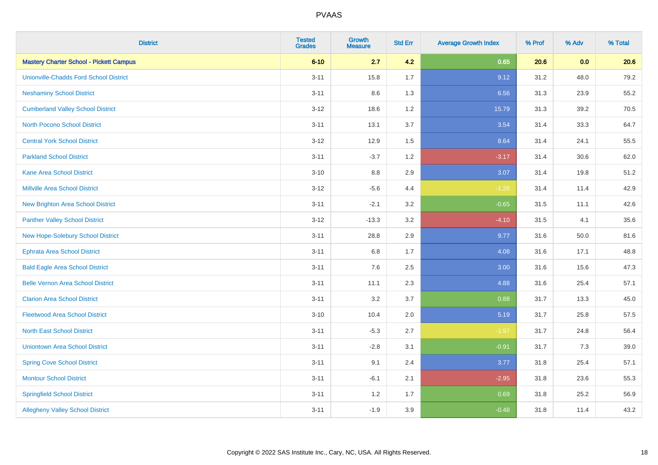| <b>District</b>                                | <b>Tested</b><br><b>Grades</b> | <b>Growth</b><br><b>Measure</b> | <b>Std Err</b> | <b>Average Growth Index</b> | % Prof | % Adv | % Total |
|------------------------------------------------|--------------------------------|---------------------------------|----------------|-----------------------------|--------|-------|---------|
| <b>Mastery Charter School - Pickett Campus</b> | $6 - 10$                       | 2.7                             | 4.2            | 0.65                        | 20.6   | 0.0   | 20.6    |
| <b>Unionville-Chadds Ford School District</b>  | $3 - 11$                       | 15.8                            | 1.7            | 9.12                        | 31.2   | 48.0  | 79.2    |
| <b>Neshaminy School District</b>               | $3 - 11$                       | 8.6                             | 1.3            | 6.56                        | 31.3   | 23.9  | 55.2    |
| <b>Cumberland Valley School District</b>       | $3 - 12$                       | 18.6                            | 1.2            | 15.79                       | 31.3   | 39.2  | 70.5    |
| <b>North Pocono School District</b>            | $3 - 11$                       | 13.1                            | 3.7            | 3.54                        | 31.4   | 33.3  | 64.7    |
| <b>Central York School District</b>            | $3 - 12$                       | 12.9                            | 1.5            | 8.64                        | 31.4   | 24.1  | 55.5    |
| <b>Parkland School District</b>                | $3 - 11$                       | $-3.7$                          | 1.2            | $-3.17$                     | 31.4   | 30.6  | 62.0    |
| <b>Kane Area School District</b>               | $3 - 10$                       | 8.8                             | 2.9            | 3.07                        | 31.4   | 19.8  | 51.2    |
| Millville Area School District                 | $3 - 12$                       | $-5.6$                          | 4.4            | $-1.26$                     | 31.4   | 11.4  | 42.9    |
| <b>New Brighton Area School District</b>       | $3 - 11$                       | $-2.1$                          | 3.2            | $-0.65$                     | 31.5   | 11.1  | 42.6    |
| <b>Panther Valley School District</b>          | $3 - 12$                       | $-13.3$                         | 3.2            | $-4.10$                     | 31.5   | 4.1   | 35.6    |
| New Hope-Solebury School District              | $3 - 11$                       | 28.8                            | 2.9            | 9.77                        | 31.6   | 50.0  | 81.6    |
| <b>Ephrata Area School District</b>            | $3 - 11$                       | $6.8\,$                         | 1.7            | 4.08                        | 31.6   | 17.1  | 48.8    |
| <b>Bald Eagle Area School District</b>         | $3 - 11$                       | 7.6                             | 2.5            | 3.00                        | 31.6   | 15.6  | 47.3    |
| <b>Belle Vernon Area School District</b>       | $3 - 11$                       | 11.1                            | 2.3            | 4.88                        | 31.6   | 25.4  | 57.1    |
| <b>Clarion Area School District</b>            | $3 - 11$                       | 3.2                             | 3.7            | 0.88                        | 31.7   | 13.3  | 45.0    |
| <b>Fleetwood Area School District</b>          | $3 - 10$                       | 10.4                            | 2.0            | 5.19                        | 31.7   | 25.8  | 57.5    |
| <b>North East School District</b>              | $3 - 11$                       | $-5.3$                          | 2.7            | $-1.97$                     | 31.7   | 24.8  | 56.4    |
| <b>Uniontown Area School District</b>          | $3 - 11$                       | $-2.8$                          | 3.1            | $-0.91$                     | 31.7   | 7.3   | 39.0    |
| <b>Spring Cove School District</b>             | $3 - 11$                       | 9.1                             | 2.4            | 3.77                        | 31.8   | 25.4  | 57.1    |
| <b>Montour School District</b>                 | $3 - 11$                       | $-6.1$                          | 2.1            | $-2.95$                     | 31.8   | 23.6  | 55.3    |
| <b>Springfield School District</b>             | $3 - 11$                       | 1.2                             | 1.7            | 0.69                        | 31.8   | 25.2  | 56.9    |
| <b>Allegheny Valley School District</b>        | $3 - 11$                       | $-1.9$                          | 3.9            | $-0.48$                     | 31.8   | 11.4  | 43.2    |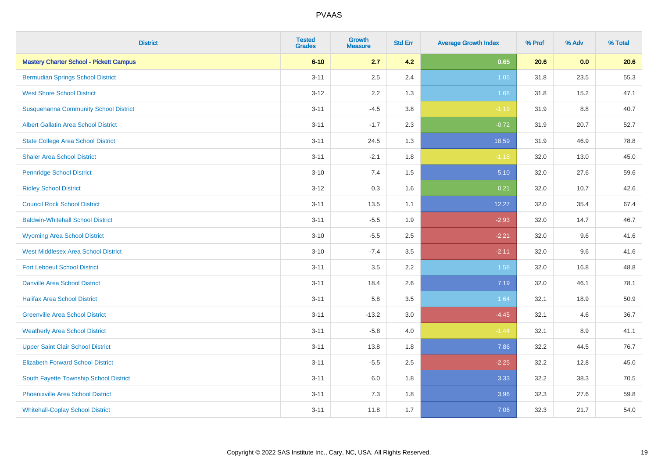| <b>District</b>                                | <b>Tested</b><br><b>Grades</b> | <b>Growth</b><br><b>Measure</b> | <b>Std Err</b> | <b>Average Growth Index</b> | % Prof | % Adv | % Total |
|------------------------------------------------|--------------------------------|---------------------------------|----------------|-----------------------------|--------|-------|---------|
| <b>Mastery Charter School - Pickett Campus</b> | $6 - 10$                       | 2.7                             | 4.2            | 0.65                        | 20.6   | 0.0   | 20.6    |
| <b>Bermudian Springs School District</b>       | $3 - 11$                       | 2.5                             | 2.4            | 1.05                        | 31.8   | 23.5  | 55.3    |
| <b>West Shore School District</b>              | $3 - 12$                       | 2.2                             | 1.3            | 1.68                        | 31.8   | 15.2  | 47.1    |
| <b>Susquehanna Community School District</b>   | $3 - 11$                       | $-4.5$                          | 3.8            | $-1.19$                     | 31.9   | 8.8   | 40.7    |
| <b>Albert Gallatin Area School District</b>    | $3 - 11$                       | $-1.7$                          | 2.3            | $-0.72$                     | 31.9   | 20.7  | 52.7    |
| <b>State College Area School District</b>      | $3 - 11$                       | 24.5                            | 1.3            | 18.59                       | 31.9   | 46.9  | 78.8    |
| <b>Shaler Area School District</b>             | $3 - 11$                       | $-2.1$                          | 1.8            | $-1.18$                     | 32.0   | 13.0  | 45.0    |
| <b>Pennridge School District</b>               | $3 - 10$                       | 7.4                             | 1.5            | 5.10                        | 32.0   | 27.6  | 59.6    |
| <b>Ridley School District</b>                  | $3-12$                         | 0.3                             | 1.6            | 0.21                        | 32.0   | 10.7  | 42.6    |
| <b>Council Rock School District</b>            | $3 - 11$                       | 13.5                            | 1.1            | 12.27                       | 32.0   | 35.4  | 67.4    |
| <b>Baldwin-Whitehall School District</b>       | $3 - 11$                       | $-5.5$                          | 1.9            | $-2.93$                     | 32.0   | 14.7  | 46.7    |
| <b>Wyoming Area School District</b>            | $3 - 10$                       | $-5.5$                          | 2.5            | $-2.21$                     | 32.0   | 9.6   | 41.6    |
| West Middlesex Area School District            | $3 - 10$                       | $-7.4$                          | 3.5            | $-2.11$                     | 32.0   | 9.6   | 41.6    |
| <b>Fort Leboeuf School District</b>            | $3 - 11$                       | 3.5                             | 2.2            | 1.58                        | 32.0   | 16.8  | 48.8    |
| <b>Danville Area School District</b>           | $3 - 11$                       | 18.4                            | 2.6            | 7.19                        | 32.0   | 46.1  | 78.1    |
| <b>Halifax Area School District</b>            | $3 - 11$                       | 5.8                             | 3.5            | 1.64                        | 32.1   | 18.9  | 50.9    |
| <b>Greenville Area School District</b>         | $3 - 11$                       | $-13.2$                         | 3.0            | $-4.45$                     | 32.1   | 4.6   | 36.7    |
| <b>Weatherly Area School District</b>          | $3 - 11$                       | $-5.8$                          | 4.0            | $-1.44$                     | 32.1   | 8.9   | 41.1    |
| <b>Upper Saint Clair School District</b>       | $3 - 11$                       | 13.8                            | 1.8            | 7.86                        | 32.2   | 44.5  | 76.7    |
| <b>Elizabeth Forward School District</b>       | $3 - 11$                       | $-5.5$                          | 2.5            | $-2.25$                     | 32.2   | 12.8  | 45.0    |
| South Fayette Township School District         | $3 - 11$                       | 6.0                             | 1.8            | 3.33                        | 32.2   | 38.3  | 70.5    |
| <b>Phoenixville Area School District</b>       | $3 - 11$                       | 7.3                             | 1.8            | 3.96                        | 32.3   | 27.6  | 59.8    |
| <b>Whitehall-Coplay School District</b>        | $3 - 11$                       | 11.8                            | 1.7            | 7.06                        | 32.3   | 21.7  | 54.0    |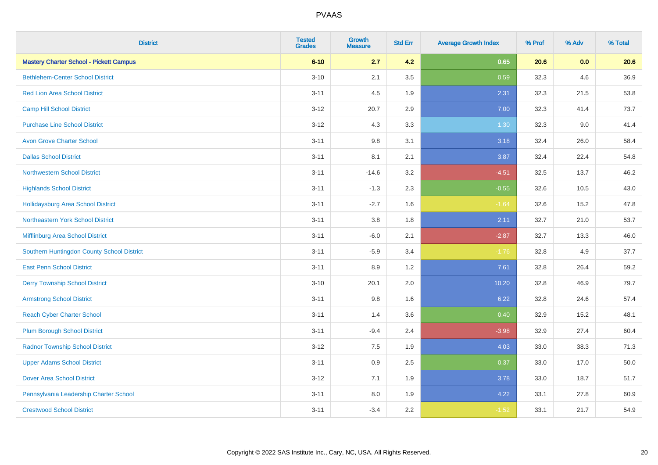| <b>District</b>                                | <b>Tested</b><br><b>Grades</b> | <b>Growth</b><br><b>Measure</b> | <b>Std Err</b> | <b>Average Growth Index</b> | % Prof | % Adv | % Total |
|------------------------------------------------|--------------------------------|---------------------------------|----------------|-----------------------------|--------|-------|---------|
| <b>Mastery Charter School - Pickett Campus</b> | $6 - 10$                       | 2.7                             | 4.2            | 0.65                        | 20.6   | 0.0   | 20.6    |
| <b>Bethlehem-Center School District</b>        | $3 - 10$                       | 2.1                             | 3.5            | 0.59                        | 32.3   | 4.6   | 36.9    |
| <b>Red Lion Area School District</b>           | $3 - 11$                       | 4.5                             | 1.9            | 2.31                        | 32.3   | 21.5  | 53.8    |
| <b>Camp Hill School District</b>               | $3 - 12$                       | 20.7                            | 2.9            | 7.00                        | 32.3   | 41.4  | 73.7    |
| <b>Purchase Line School District</b>           | $3 - 12$                       | 4.3                             | 3.3            | 1.30                        | 32.3   | 9.0   | 41.4    |
| <b>Avon Grove Charter School</b>               | $3 - 11$                       | $9.8\,$                         | 3.1            | 3.18                        | 32.4   | 26.0  | 58.4    |
| <b>Dallas School District</b>                  | $3 - 11$                       | 8.1                             | 2.1            | 3.87                        | 32.4   | 22.4  | 54.8    |
| <b>Northwestern School District</b>            | $3 - 11$                       | $-14.6$                         | 3.2            | $-4.51$                     | 32.5   | 13.7  | 46.2    |
| <b>Highlands School District</b>               | $3 - 11$                       | $-1.3$                          | 2.3            | $-0.55$                     | 32.6   | 10.5  | 43.0    |
| <b>Hollidaysburg Area School District</b>      | $3 - 11$                       | $-2.7$                          | 1.6            | $-1.64$                     | 32.6   | 15.2  | 47.8    |
| Northeastern York School District              | $3 - 11$                       | 3.8                             | 1.8            | 2.11                        | 32.7   | 21.0  | 53.7    |
| Mifflinburg Area School District               | $3 - 11$                       | $-6.0$                          | 2.1            | $-2.87$                     | 32.7   | 13.3  | 46.0    |
| Southern Huntingdon County School District     | $3 - 11$                       | $-5.9$                          | 3.4            | $-1.76$                     | 32.8   | 4.9   | 37.7    |
| <b>East Penn School District</b>               | $3 - 11$                       | 8.9                             | 1.2            | 7.61                        | 32.8   | 26.4  | 59.2    |
| <b>Derry Township School District</b>          | $3 - 10$                       | 20.1                            | 2.0            | 10.20                       | 32.8   | 46.9  | 79.7    |
| <b>Armstrong School District</b>               | $3 - 11$                       | 9.8                             | 1.6            | 6.22                        | 32.8   | 24.6  | 57.4    |
| <b>Reach Cyber Charter School</b>              | $3 - 11$                       | 1.4                             | 3.6            | 0.40                        | 32.9   | 15.2  | 48.1    |
| <b>Plum Borough School District</b>            | $3 - 11$                       | $-9.4$                          | 2.4            | $-3.98$                     | 32.9   | 27.4  | 60.4    |
| <b>Radnor Township School District</b>         | $3 - 12$                       | $7.5\,$                         | 1.9            | 4.03                        | 33.0   | 38.3  | 71.3    |
| <b>Upper Adams School District</b>             | $3 - 11$                       | 0.9                             | 2.5            | 0.37                        | 33.0   | 17.0  | 50.0    |
| <b>Dover Area School District</b>              | $3 - 12$                       | 7.1                             | 1.9            | 3.78                        | 33.0   | 18.7  | 51.7    |
| Pennsylvania Leadership Charter School         | $3 - 11$                       | $8.0\,$                         | 1.9            | 4.22                        | 33.1   | 27.8  | 60.9    |
| <b>Crestwood School District</b>               | $3 - 11$                       | $-3.4$                          | 2.2            | $-1.52$                     | 33.1   | 21.7  | 54.9    |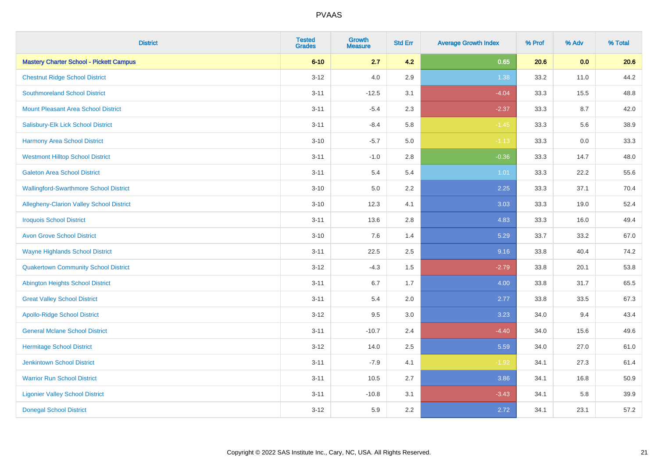| <b>District</b>                                | <b>Tested</b><br><b>Grades</b> | <b>Growth</b><br><b>Measure</b> | <b>Std Err</b> | <b>Average Growth Index</b> | % Prof | % Adv | % Total |
|------------------------------------------------|--------------------------------|---------------------------------|----------------|-----------------------------|--------|-------|---------|
| <b>Mastery Charter School - Pickett Campus</b> | $6 - 10$                       | 2.7                             | 4.2            | 0.65                        | 20.6   | 0.0   | 20.6    |
| <b>Chestnut Ridge School District</b>          | $3 - 12$                       | $4.0\,$                         | 2.9            | 1.38                        | 33.2   | 11.0  | 44.2    |
| <b>Southmoreland School District</b>           | $3 - 11$                       | $-12.5$                         | 3.1            | $-4.04$                     | 33.3   | 15.5  | 48.8    |
| Mount Pleasant Area School District            | $3 - 11$                       | $-5.4$                          | 2.3            | $-2.37$                     | 33.3   | 8.7   | 42.0    |
| Salisbury-Elk Lick School District             | $3 - 11$                       | $-8.4$                          | 5.8            | $-1.45$                     | 33.3   | 5.6   | 38.9    |
| <b>Harmony Area School District</b>            | $3 - 10$                       | $-5.7$                          | 5.0            | $-1.13$                     | 33.3   | 0.0   | 33.3    |
| <b>Westmont Hilltop School District</b>        | $3 - 11$                       | $-1.0$                          | 2.8            | $-0.36$                     | 33.3   | 14.7  | 48.0    |
| <b>Galeton Area School District</b>            | $3 - 11$                       | 5.4                             | 5.4            | 1.01                        | 33.3   | 22.2  | 55.6    |
| <b>Wallingford-Swarthmore School District</b>  | $3 - 10$                       | 5.0                             | 2.2            | 2.25                        | 33.3   | 37.1  | 70.4    |
| Allegheny-Clarion Valley School District       | $3 - 10$                       | 12.3                            | 4.1            | 3.03                        | 33.3   | 19.0  | 52.4    |
| <b>Iroquois School District</b>                | $3 - 11$                       | 13.6                            | 2.8            | 4.83                        | 33.3   | 16.0  | 49.4    |
| <b>Avon Grove School District</b>              | $3 - 10$                       | 7.6                             | 1.4            | 5.29                        | 33.7   | 33.2  | 67.0    |
| <b>Wayne Highlands School District</b>         | $3 - 11$                       | 22.5                            | 2.5            | 9.16                        | 33.8   | 40.4  | 74.2    |
| <b>Quakertown Community School District</b>    | $3 - 12$                       | $-4.3$                          | 1.5            | $-2.79$                     | 33.8   | 20.1  | 53.8    |
| <b>Abington Heights School District</b>        | $3 - 11$                       | 6.7                             | 1.7            | 4.00                        | 33.8   | 31.7  | 65.5    |
| <b>Great Valley School District</b>            | $3 - 11$                       | 5.4                             | 2.0            | 2.77                        | 33.8   | 33.5  | 67.3    |
| <b>Apollo-Ridge School District</b>            | $3 - 12$                       | 9.5                             | 3.0            | 3.23                        | 34.0   | 9.4   | 43.4    |
| <b>General Mclane School District</b>          | $3 - 11$                       | $-10.7$                         | 2.4            | $-4.40$                     | 34.0   | 15.6  | 49.6    |
| <b>Hermitage School District</b>               | $3-12$                         | 14.0                            | 2.5            | 5.59                        | 34.0   | 27.0  | 61.0    |
| <b>Jenkintown School District</b>              | $3 - 11$                       | $-7.9$                          | 4.1            | $-1.92$                     | 34.1   | 27.3  | 61.4    |
| <b>Warrior Run School District</b>             | $3 - 11$                       | 10.5                            | 2.7            | 3.86                        | 34.1   | 16.8  | 50.9    |
| <b>Ligonier Valley School District</b>         | $3 - 11$                       | $-10.8$                         | 3.1            | $-3.43$                     | 34.1   | 5.8   | 39.9    |
| <b>Donegal School District</b>                 | $3 - 12$                       | 5.9                             | 2.2            | 2.72                        | 34.1   | 23.1  | 57.2    |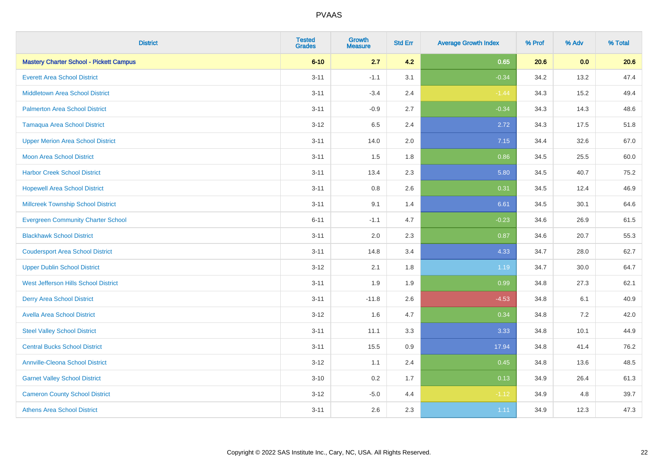| <b>District</b>                                | <b>Tested</b><br><b>Grades</b> | <b>Growth</b><br><b>Measure</b> | <b>Std Err</b> | <b>Average Growth Index</b> | % Prof | % Adv | % Total |
|------------------------------------------------|--------------------------------|---------------------------------|----------------|-----------------------------|--------|-------|---------|
| <b>Mastery Charter School - Pickett Campus</b> | $6 - 10$                       | 2.7                             | 4.2            | 0.65                        | 20.6   | 0.0   | 20.6    |
| <b>Everett Area School District</b>            | $3 - 11$                       | $-1.1$                          | 3.1            | $-0.34$                     | 34.2   | 13.2  | 47.4    |
| <b>Middletown Area School District</b>         | $3 - 11$                       | $-3.4$                          | 2.4            | $-1.44$                     | 34.3   | 15.2  | 49.4    |
| <b>Palmerton Area School District</b>          | $3 - 11$                       | $-0.9$                          | 2.7            | $-0.34$                     | 34.3   | 14.3  | 48.6    |
| <b>Tamaqua Area School District</b>            | $3 - 12$                       | 6.5                             | 2.4            | 2.72                        | 34.3   | 17.5  | 51.8    |
| <b>Upper Merion Area School District</b>       | $3 - 11$                       | 14.0                            | 2.0            | 7.15                        | 34.4   | 32.6  | 67.0    |
| <b>Moon Area School District</b>               | $3 - 11$                       | 1.5                             | 1.8            | 0.86                        | 34.5   | 25.5  | 60.0    |
| <b>Harbor Creek School District</b>            | $3 - 11$                       | 13.4                            | 2.3            | 5.80                        | 34.5   | 40.7  | 75.2    |
| <b>Hopewell Area School District</b>           | $3 - 11$                       | 0.8                             | 2.6            | 0.31                        | 34.5   | 12.4  | 46.9    |
| <b>Millcreek Township School District</b>      | $3 - 11$                       | 9.1                             | 1.4            | 6.61                        | 34.5   | 30.1  | 64.6    |
| <b>Evergreen Community Charter School</b>      | $6 - 11$                       | $-1.1$                          | 4.7            | $-0.23$                     | 34.6   | 26.9  | 61.5    |
| <b>Blackhawk School District</b>               | $3 - 11$                       | 2.0                             | 2.3            | 0.87                        | 34.6   | 20.7  | 55.3    |
| <b>Coudersport Area School District</b>        | $3 - 11$                       | 14.8                            | 3.4            | 4.33                        | 34.7   | 28.0  | 62.7    |
| <b>Upper Dublin School District</b>            | $3 - 12$                       | 2.1                             | 1.8            | 1.19                        | 34.7   | 30.0  | 64.7    |
| West Jefferson Hills School District           | $3 - 11$                       | 1.9                             | 1.9            | 0.99                        | 34.8   | 27.3  | 62.1    |
| <b>Derry Area School District</b>              | $3 - 11$                       | $-11.8$                         | 2.6            | $-4.53$                     | 34.8   | 6.1   | 40.9    |
| <b>Avella Area School District</b>             | $3 - 12$                       | 1.6                             | 4.7            | 0.34                        | 34.8   | 7.2   | 42.0    |
| <b>Steel Valley School District</b>            | $3 - 11$                       | 11.1                            | 3.3            | 3.33                        | 34.8   | 10.1  | 44.9    |
| <b>Central Bucks School District</b>           | $3 - 11$                       | 15.5                            | 0.9            | 17.94                       | 34.8   | 41.4  | 76.2    |
| <b>Annville-Cleona School District</b>         | $3 - 12$                       | 1.1                             | 2.4            | 0.45                        | 34.8   | 13.6  | 48.5    |
| <b>Garnet Valley School District</b>           | $3 - 10$                       | 0.2                             | 1.7            | 0.13                        | 34.9   | 26.4  | 61.3    |
| <b>Cameron County School District</b>          | $3 - 12$                       | $-5.0$                          | 4.4            | $-1.12$                     | 34.9   | 4.8   | 39.7    |
| <b>Athens Area School District</b>             | $3 - 11$                       | 2.6                             | 2.3            | 1.11                        | 34.9   | 12.3  | 47.3    |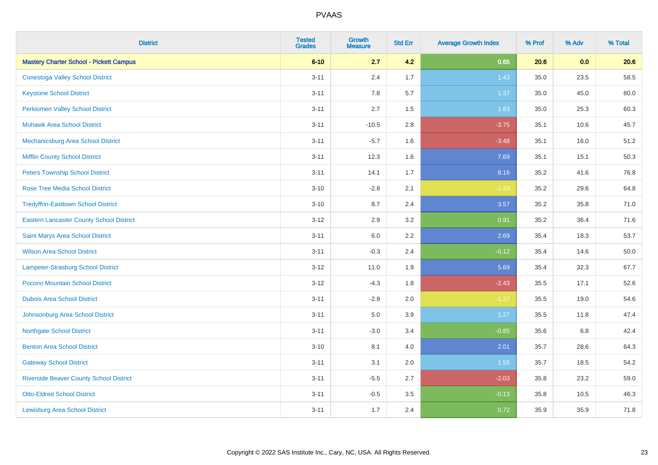| <b>District</b>                                 | <b>Tested</b><br><b>Grades</b> | <b>Growth</b><br><b>Measure</b> | <b>Std Err</b> | <b>Average Growth Index</b> | % Prof | % Adv | % Total |
|-------------------------------------------------|--------------------------------|---------------------------------|----------------|-----------------------------|--------|-------|---------|
| <b>Mastery Charter School - Pickett Campus</b>  | $6 - 10$                       | 2.7                             | 4.2            | 0.65                        | 20.6   | 0.0   | 20.6    |
| <b>Conestoga Valley School District</b>         | $3 - 11$                       | 2.4                             | 1.7            | 1.43                        | 35.0   | 23.5  | 58.5    |
| <b>Keystone School District</b>                 | $3 - 11$                       | 7.8                             | 5.7            | 1.37                        | 35.0   | 45.0  | 80.0    |
| <b>Perkiomen Valley School District</b>         | $3 - 11$                       | 2.7                             | 1.5            | 1.83                        | 35.0   | 25.3  | 60.3    |
| <b>Mohawk Area School District</b>              | $3 - 11$                       | $-10.5$                         | 2.8            | $-3.75$                     | 35.1   | 10.6  | 45.7    |
| Mechanicsburg Area School District              | $3 - 11$                       | $-5.7$                          | 1.6            | $-3.48$                     | 35.1   | 16.0  | 51.2    |
| <b>Mifflin County School District</b>           | $3 - 11$                       | 12.3                            | 1.6            | 7.69                        | 35.1   | 15.1  | 50.3    |
| <b>Peters Township School District</b>          | $3 - 11$                       | 14.1                            | 1.7            | 8.16                        | 35.2   | 41.6  | 76.8    |
| <b>Rose Tree Media School District</b>          | $3 - 10$                       | $-2.8$                          | 2.1            | $-1.33$                     | 35.2   | 29.6  | 64.8    |
| <b>Tredyffrin-Easttown School District</b>      | $3 - 10$                       | 8.7                             | 2.4            | 3.57                        | 35.2   | 35.8  | 71.0    |
| <b>Eastern Lancaster County School District</b> | $3 - 12$                       | 2.9                             | 3.2            | 0.91                        | 35.2   | 36.4  | 71.6    |
| Saint Marys Area School District                | $3 - 11$                       | 6.0                             | 2.2            | 2.69                        | 35.4   | 18.3  | 53.7    |
| <b>Wilson Area School District</b>              | $3 - 11$                       | $-0.3$                          | 2.4            | $-0.12$                     | 35.4   | 14.6  | 50.0    |
| Lampeter-Strasburg School District              | $3 - 12$                       | 11.0                            | 1.9            | 5.69                        | 35.4   | 32.3  | 67.7    |
| Pocono Mountain School District                 | $3 - 12$                       | $-4.3$                          | 1.8            | $-2.43$                     | 35.5   | 17.1  | 52.6    |
| <b>Dubois Area School District</b>              | $3 - 11$                       | $-2.8$                          | 2.0            | $-1.37$                     | 35.5   | 19.0  | 54.6    |
| Johnsonburg Area School District                | $3 - 11$                       | 5.0                             | 3.9            | 1.27                        | 35.5   | 11.8  | 47.4    |
| <b>Northgate School District</b>                | $3 - 11$                       | $-3.0$                          | 3.4            | $-0.85$                     | 35.6   | 6.8   | 42.4    |
| <b>Benton Area School District</b>              | $3 - 10$                       | 8.1                             | 4.0            | 2.01                        | 35.7   | 28.6  | 64.3    |
| <b>Gateway School District</b>                  | $3 - 11$                       | 3.1                             | 2.0            | 1.55                        | 35.7   | 18.5  | 54.2    |
| <b>Riverside Beaver County School District</b>  | $3 - 11$                       | $-5.5$                          | 2.7            | $-2.03$                     | 35.8   | 23.2  | 59.0    |
| <b>Otto-Eldred School District</b>              | $3 - 11$                       | $-0.5$                          | 3.5            | $-0.13$                     | 35.8   | 10.5  | 46.3    |
| <b>Lewisburg Area School District</b>           | $3 - 11$                       | 1.7                             | 2.4            | 0.72                        | 35.9   | 35.9  | 71.8    |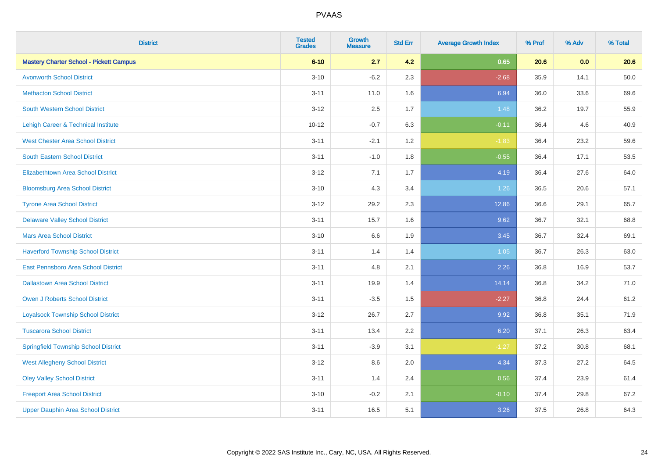| <b>District</b>                                | <b>Tested</b><br><b>Grades</b> | <b>Growth</b><br><b>Measure</b> | <b>Std Err</b> | <b>Average Growth Index</b> | % Prof | % Adv | % Total |
|------------------------------------------------|--------------------------------|---------------------------------|----------------|-----------------------------|--------|-------|---------|
| <b>Mastery Charter School - Pickett Campus</b> | $6 - 10$                       | 2.7                             | 4.2            | 0.65                        | 20.6   | 0.0   | 20.6    |
| <b>Avonworth School District</b>               | $3 - 10$                       | $-6.2$                          | 2.3            | $-2.68$                     | 35.9   | 14.1  | 50.0    |
| <b>Methacton School District</b>               | $3 - 11$                       | 11.0                            | 1.6            | 6.94                        | 36.0   | 33.6  | 69.6    |
| <b>South Western School District</b>           | $3 - 12$                       | 2.5                             | 1.7            | 1.48                        | 36.2   | 19.7  | 55.9    |
| Lehigh Career & Technical Institute            | $10 - 12$                      | $-0.7$                          | 6.3            | $-0.11$                     | 36.4   | 4.6   | 40.9    |
| <b>West Chester Area School District</b>       | $3 - 11$                       | $-2.1$                          | $1.2$          | $-1.83$                     | 36.4   | 23.2  | 59.6    |
| South Eastern School District                  | $3 - 11$                       | $-1.0$                          | 1.8            | $-0.55$                     | 36.4   | 17.1  | 53.5    |
| <b>Elizabethtown Area School District</b>      | $3 - 12$                       | 7.1                             | 1.7            | 4.19                        | 36.4   | 27.6  | 64.0    |
| <b>Bloomsburg Area School District</b>         | $3 - 10$                       | 4.3                             | 3.4            | 1.26                        | 36.5   | 20.6  | 57.1    |
| <b>Tyrone Area School District</b>             | $3 - 12$                       | 29.2                            | 2.3            | 12.86                       | 36.6   | 29.1  | 65.7    |
| <b>Delaware Valley School District</b>         | $3 - 11$                       | 15.7                            | 1.6            | 9.62                        | 36.7   | 32.1  | 68.8    |
| <b>Mars Area School District</b>               | $3 - 10$                       | 6.6                             | 1.9            | 3.45                        | 36.7   | 32.4  | 69.1    |
| <b>Haverford Township School District</b>      | $3 - 11$                       | 1.4                             | 1.4            | 1.05                        | 36.7   | 26.3  | 63.0    |
| East Pennsboro Area School District            | $3 - 11$                       | 4.8                             | 2.1            | 2.26                        | 36.8   | 16.9  | 53.7    |
| <b>Dallastown Area School District</b>         | $3 - 11$                       | 19.9                            | 1.4            | 14.14                       | 36.8   | 34.2  | 71.0    |
| <b>Owen J Roberts School District</b>          | $3 - 11$                       | $-3.5$                          | 1.5            | $-2.27$                     | 36.8   | 24.4  | 61.2    |
| <b>Loyalsock Township School District</b>      | $3-12$                         | 26.7                            | 2.7            | 9.92                        | 36.8   | 35.1  | 71.9    |
| <b>Tuscarora School District</b>               | $3 - 11$                       | 13.4                            | 2.2            | 6.20                        | 37.1   | 26.3  | 63.4    |
| <b>Springfield Township School District</b>    | $3 - 11$                       | $-3.9$                          | 3.1            | $-1.27$                     | 37.2   | 30.8  | 68.1    |
| <b>West Allegheny School District</b>          | $3 - 12$                       | 8.6                             | 2.0            | 4.34                        | 37.3   | 27.2  | 64.5    |
| <b>Oley Valley School District</b>             | $3 - 11$                       | 1.4                             | 2.4            | 0.56                        | 37.4   | 23.9  | 61.4    |
| <b>Freeport Area School District</b>           | $3 - 10$                       | $-0.2$                          | 2.1            | $-0.10$                     | 37.4   | 29.8  | 67.2    |
| <b>Upper Dauphin Area School District</b>      | $3 - 11$                       | 16.5                            | 5.1            | 3.26                        | 37.5   | 26.8  | 64.3    |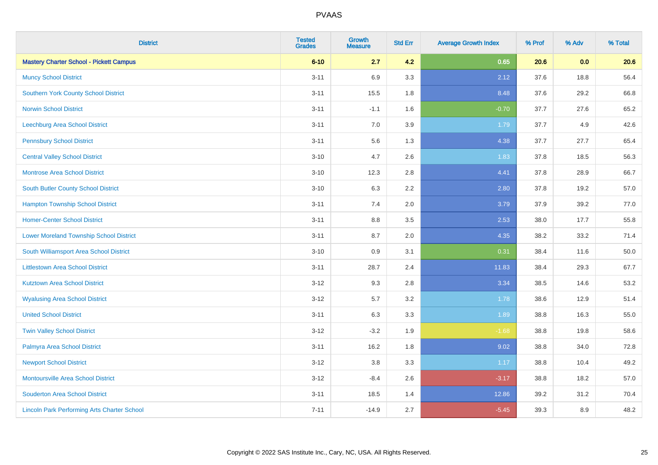| <b>District</b>                                    | <b>Tested</b><br><b>Grades</b> | <b>Growth</b><br><b>Measure</b> | <b>Std Err</b> | <b>Average Growth Index</b> | % Prof | % Adv | % Total |
|----------------------------------------------------|--------------------------------|---------------------------------|----------------|-----------------------------|--------|-------|---------|
| <b>Mastery Charter School - Pickett Campus</b>     | $6 - 10$                       | 2.7                             | 4.2            | 0.65                        | 20.6   | 0.0   | 20.6    |
| <b>Muncy School District</b>                       | $3 - 11$                       | 6.9                             | 3.3            | 2.12                        | 37.6   | 18.8  | 56.4    |
| <b>Southern York County School District</b>        | $3 - 11$                       | 15.5                            | 1.8            | 8.48                        | 37.6   | 29.2  | 66.8    |
| <b>Norwin School District</b>                      | $3 - 11$                       | $-1.1$                          | 1.6            | $-0.70$                     | 37.7   | 27.6  | 65.2    |
| Leechburg Area School District                     | $3 - 11$                       | 7.0                             | 3.9            | 1.79                        | 37.7   | 4.9   | 42.6    |
| <b>Pennsbury School District</b>                   | $3 - 11$                       | 5.6                             | 1.3            | 4.38                        | 37.7   | 27.7  | 65.4    |
| <b>Central Valley School District</b>              | $3 - 10$                       | 4.7                             | 2.6            | 1.83                        | 37.8   | 18.5  | 56.3    |
| <b>Montrose Area School District</b>               | $3 - 10$                       | 12.3                            | 2.8            | 4.41                        | 37.8   | 28.9  | 66.7    |
| <b>South Butler County School District</b>         | $3 - 10$                       | 6.3                             | 2.2            | 2.80                        | 37.8   | 19.2  | 57.0    |
| <b>Hampton Township School District</b>            | $3 - 11$                       | 7.4                             | 2.0            | 3.79                        | 37.9   | 39.2  | 77.0    |
| <b>Homer-Center School District</b>                | $3 - 11$                       | 8.8                             | 3.5            | 2.53                        | 38.0   | 17.7  | 55.8    |
| <b>Lower Moreland Township School District</b>     | $3 - 11$                       | 8.7                             | 2.0            | 4.35                        | 38.2   | 33.2  | 71.4    |
| South Williamsport Area School District            | $3 - 10$                       | 0.9                             | 3.1            | 0.31                        | 38.4   | 11.6  | 50.0    |
| <b>Littlestown Area School District</b>            | $3 - 11$                       | 28.7                            | 2.4            | 11.83                       | 38.4   | 29.3  | 67.7    |
| <b>Kutztown Area School District</b>               | $3 - 12$                       | 9.3                             | 2.8            | 3.34                        | 38.5   | 14.6  | 53.2    |
| <b>Wyalusing Area School District</b>              | $3-12$                         | 5.7                             | 3.2            | 1.78                        | 38.6   | 12.9  | 51.4    |
| <b>United School District</b>                      | $3 - 11$                       | 6.3                             | 3.3            | 1.89                        | 38.8   | 16.3  | 55.0    |
| <b>Twin Valley School District</b>                 | $3 - 12$                       | $-3.2$                          | 1.9            | $-1.68$                     | 38.8   | 19.8  | 58.6    |
| Palmyra Area School District                       | $3 - 11$                       | 16.2                            | 1.8            | 9.02                        | 38.8   | 34.0  | 72.8    |
| <b>Newport School District</b>                     | $3 - 12$                       | $3.8\,$                         | 3.3            | 1.17                        | 38.8   | 10.4  | 49.2    |
| <b>Montoursville Area School District</b>          | $3 - 12$                       | $-8.4$                          | 2.6            | $-3.17$                     | 38.8   | 18.2  | 57.0    |
| <b>Souderton Area School District</b>              | $3 - 11$                       | 18.5                            | 1.4            | 12.86                       | 39.2   | 31.2  | 70.4    |
| <b>Lincoln Park Performing Arts Charter School</b> | $7 - 11$                       | $-14.9$                         | 2.7            | $-5.45$                     | 39.3   | 8.9   | 48.2    |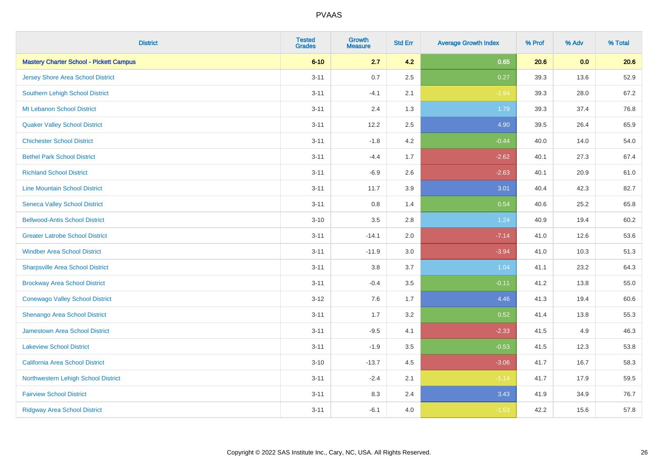| <b>District</b>                                | <b>Tested</b><br><b>Grades</b> | <b>Growth</b><br><b>Measure</b> | <b>Std Err</b> | <b>Average Growth Index</b> | % Prof | % Adv | % Total |
|------------------------------------------------|--------------------------------|---------------------------------|----------------|-----------------------------|--------|-------|---------|
| <b>Mastery Charter School - Pickett Campus</b> | $6 - 10$                       | 2.7                             | 4.2            | 0.65                        | 20.6   | 0.0   | 20.6    |
| <b>Jersey Shore Area School District</b>       | $3 - 11$                       | 0.7                             | 2.5            | 0.27                        | 39.3   | 13.6  | 52.9    |
| <b>Southern Lehigh School District</b>         | $3 - 11$                       | $-4.1$                          | 2.1            | $-1.94$                     | 39.3   | 28.0  | 67.2    |
| Mt Lebanon School District                     | $3 - 11$                       | 2.4                             | 1.3            | 1.79                        | 39.3   | 37.4  | 76.8    |
| <b>Quaker Valley School District</b>           | $3 - 11$                       | 12.2                            | 2.5            | 4.90                        | 39.5   | 26.4  | 65.9    |
| <b>Chichester School District</b>              | $3 - 11$                       | $-1.8$                          | 4.2            | $-0.44$                     | 40.0   | 14.0  | 54.0    |
| <b>Bethel Park School District</b>             | $3 - 11$                       | $-4.4$                          | 1.7            | $-2.62$                     | 40.1   | 27.3  | 67.4    |
| <b>Richland School District</b>                | $3 - 11$                       | $-6.9$                          | 2.6            | $-2.63$                     | 40.1   | 20.9  | 61.0    |
| <b>Line Mountain School District</b>           | $3 - 11$                       | 11.7                            | 3.9            | 3.01                        | 40.4   | 42.3  | 82.7    |
| <b>Seneca Valley School District</b>           | $3 - 11$                       | 0.8                             | 1.4            | 0.54                        | 40.6   | 25.2  | 65.8    |
| <b>Bellwood-Antis School District</b>          | $3 - 10$                       | 3.5                             | 2.8            | 1.24                        | 40.9   | 19.4  | 60.2    |
| <b>Greater Latrobe School District</b>         | $3 - 11$                       | $-14.1$                         | 2.0            | $-7.14$                     | 41.0   | 12.6  | 53.6    |
| <b>Windber Area School District</b>            | $3 - 11$                       | $-11.9$                         | 3.0            | $-3.94$                     | 41.0   | 10.3  | 51.3    |
| <b>Sharpsville Area School District</b>        | $3 - 11$                       | 3.8                             | 3.7            | 1.04                        | 41.1   | 23.2  | 64.3    |
| <b>Brockway Area School District</b>           | $3 - 11$                       | $-0.4$                          | 3.5            | $-0.11$                     | 41.2   | 13.8  | 55.0    |
| <b>Conewago Valley School District</b>         | $3 - 12$                       | 7.6                             | 1.7            | 4.46                        | 41.3   | 19.4  | 60.6    |
| Shenango Area School District                  | $3 - 11$                       | 1.7                             | 3.2            | 0.52                        | 41.4   | 13.8  | 55.3    |
| Jamestown Area School District                 | $3 - 11$                       | $-9.5$                          | 4.1            | $-2.33$                     | 41.5   | 4.9   | 46.3    |
| <b>Lakeview School District</b>                | $3 - 11$                       | $-1.9$                          | $3.5\,$        | $-0.53$                     | 41.5   | 12.3  | 53.8    |
| <b>California Area School District</b>         | $3 - 10$                       | $-13.7$                         | 4.5            | $-3.06$                     | 41.7   | 16.7  | 58.3    |
| Northwestern Lehigh School District            | $3 - 11$                       | $-2.4$                          | 2.1            | $-1.14$                     | 41.7   | 17.9  | 59.5    |
| <b>Fairview School District</b>                | $3 - 11$                       | 8.3                             | 2.4            | 3.43                        | 41.9   | 34.9  | 76.7    |
| <b>Ridgway Area School District</b>            | $3 - 11$                       | $-6.1$                          | 4.0            | $-1.53$                     | 42.2   | 15.6  | 57.8    |